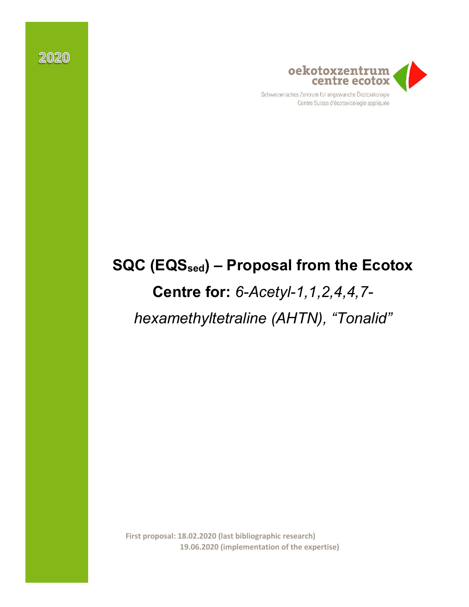

Centre Suisse d'écotoxicologie appliquée

# **SQC (EQSsed) – Proposal from the Ecotox**

# **Centre for:** *6-Acetyl-1,1,2,4,4,7 hexamethyltetraline (AHTN), "Tonalid"*

**First proposal: 18.02.2020 (last bibliographic research) 19.06.2020 (implementation of the expertise)**

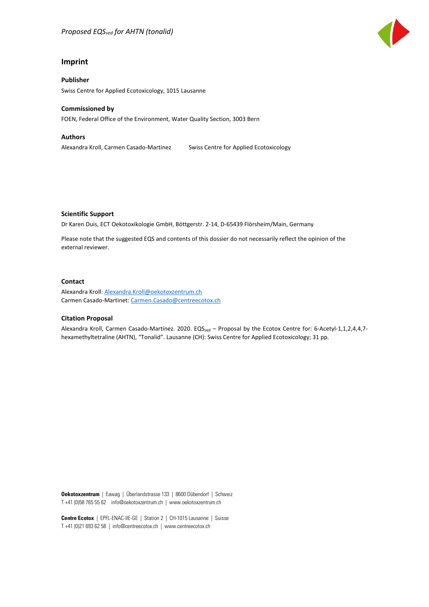#### **Imprint**

**Publisher** Swiss Centre for Applied Ecotoxicology, 1015 Lausanne

#### **Commissioned by**

FOEN, Federal Office of the Environment, Water Quality Section, 3003 Bern

#### **Authors**

Alexandra Kroll, Carmen Casado-Martinez Swiss Centre for Applied Ecotoxicology

#### **Scientific Support**

Dr Karen Duis, ECT Oekotoxikologie GmbH, Böttgerstr. 2-14, D-65439 Flörsheim/Main, Germany

Please note that the suggested EQS and contents of this dossier do not necessarily reflect the opinion of the external reviewer.

#### **Contact**

Alexandra Kroll: [Alexandra.Kroll@oekotoxzentrum.ch](mailto:Alexandra.Kroll@oekotoxzentrum.ch) Carmen Casado-Martinet: [Carmen.Casado@centreecotox.ch](mailto:Carmen.Casado@centreecotox.ch)

#### **Citation Proposal**

Alexandra Kroll, Carmen Casado-Martinez. 2020. EQS<sub>sed</sub> – Proposal by the Ecotox Centre for: 6-Acetyl-1,1,2,4,4,7hexamethyltetraline (AHTN), "Tonalid". Lausanne (CH): Swiss Centre for Applied Ecotoxicology; 31 pp.

**Oekotoxzentrum** | Eawag | Überlandstrasse 133 | 8600 Dübendorf | Schweiz T +41 (0)58 765 55 62 info@oekotoxzentrum.ch | www.oekotoxzentrum.ch

**Centre Ecotox** | EPFL-ENAC-IIE-GE | Station 2 | CH-1015 Lausanne | Suisse T +41 (0)21 693 62 58 | info@centreecotox.ch | www.centreecotox.ch

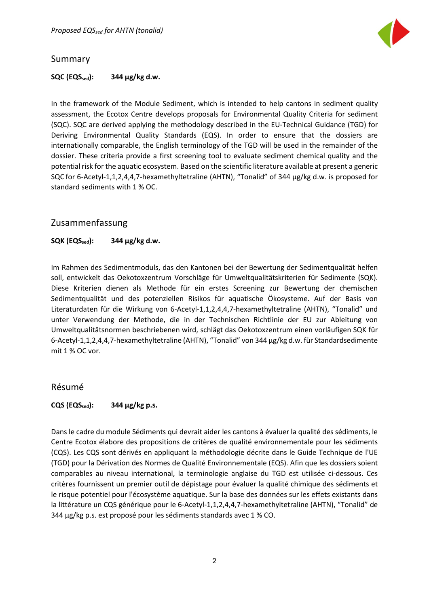

#### <span id="page-2-0"></span>Summary

#### **SQC (EQSsed): 344 µg/kg d.w.**

In the framework of the Module Sediment, which is intended to help cantons in sediment quality assessment, the Ecotox Centre develops proposals for Environmental Quality Criteria for sediment (SQC). SQC are derived applying the methodology described in the EU-Technical Guidance (TGD) for Deriving Environmental Quality Standards (EQS). In order to ensure that the dossiers are internationally comparable, the English terminology of the TGD will be used in the remainder of the dossier. These criteria provide a first screening tool to evaluate sediment chemical quality and the potential risk for the aquatic ecosystem. Based on the scientific literature available at present a generic SQC for 6-Acetyl-1,1,2,4,4,7-hexamethyltetraline (AHTN), "Tonalid" of 344 µg/kg d.w. is proposed for standard sediments with 1 % OC.

#### Zusammenfassung

#### **SQK (EQS**<sub>sed</sub>): 344 μg/kg d.w.

Im Rahmen des Sedimentmoduls, das den Kantonen bei der Bewertung der Sedimentqualität helfen soll, entwickelt das Oekotoxzentrum Vorschläge für Umweltqualitätskriterien für Sedimente (SQK). Diese Kriterien dienen als Methode für ein erstes Screening zur Bewertung der chemischen Sedimentqualität und des potenziellen Risikos für aquatische Ökosysteme. Auf der Basis von Literaturdaten für die Wirkung von 6-Acetyl-1,1,2,4,4,7-hexamethyltetraline (AHTN), "Tonalid" und unter Verwendung der Methode, die in der Technischen Richtlinie der EU zur Ableitung von Umweltqualitätsnormen beschriebenen wird, schlägt das Oekotoxzentrum einen vorläufigen SQK für 6-Acetyl-1,1,2,4,4,7-hexamethyltetraline (AHTN), "Tonalid" von 344 µg/kg d.w. für Standardsedimente mit 1 % OC vor.

#### Résumé

#### **CQS (EQS**<sub>sed</sub>): 344 μg/kg p.s.

Dans le cadre du module Sédiments qui devrait aider les cantons à évaluer la qualité des sédiments, le Centre Ecotox élabore des propositions de critères de qualité environnementale pour les sédiments (CQS). Les CQS sont dérivés en appliquant la méthodologie décrite dans le Guide Technique de l'UE (TGD) pour la Dérivation des Normes de Qualité Environnementale (EQS). Afin que les dossiers soient comparables au niveau international, la terminologie anglaise du TGD est utilisée ci-dessous. Ces critères fournissent un premier outil de dépistage pour évaluer la qualité chimique des sédiments et le risque potentiel pour l'écosystème aquatique. Sur la base des données sur les effets existants dans la littérature un CQS générique pour le 6-Acetyl-1,1,2,4,4,7-hexamethyltetraline (AHTN), "Tonalid" de 344 µg/kg p.s. est proposé pour les sédiments standards avec 1 % CO.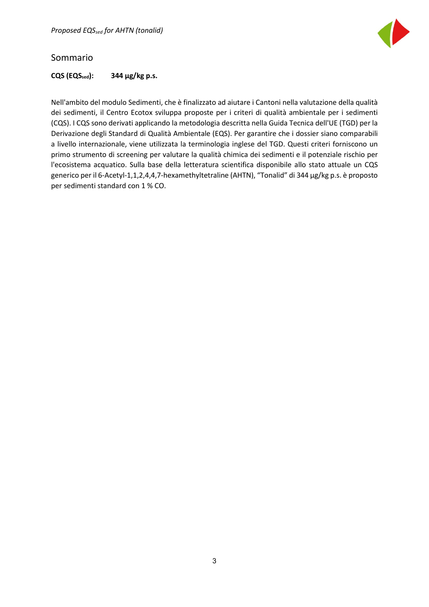

#### Sommario

#### **CQS (EQS**<sub>sed</sub>): 344 μg/kg p.s.

Nell'ambito del modulo Sedimenti, che è finalizzato ad aiutare i Cantoni nella valutazione della qualità dei sedimenti, il Centro Ecotox sviluppa proposte per i criteri di qualità ambientale per i sedimenti (CQS). I CQS sono derivati applicando la metodologia descritta nella Guida Tecnica dell'UE (TGD) per la Derivazione degli Standard di Qualità Ambientale (EQS). Per garantire che i dossier siano comparabili a livello internazionale, viene utilizzata la terminologia inglese del TGD. Questi criteri forniscono un primo strumento di screening per valutare la qualità chimica dei sedimenti e il potenziale rischio per l'ecosistema acquatico. Sulla base della letteratura scientifica disponibile allo stato attuale un CQS generico per il 6-Acetyl-1,1,2,4,4,7-hexamethyltetraline (AHTN), "Tonalid" di 344 µg/kg p.s. è proposto per sedimenti standard con 1 % CO.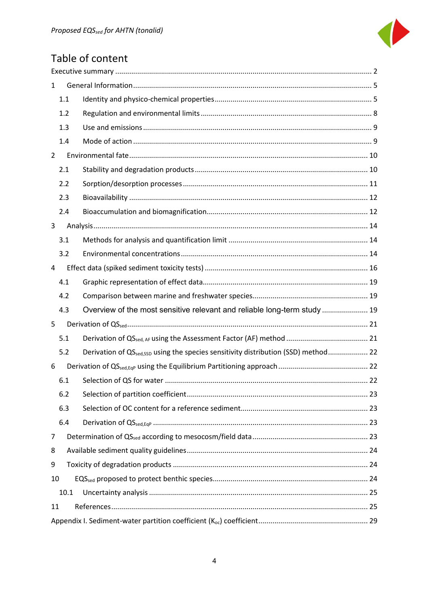

# Table of content

| 1              |                                                                                                |  |  |  |  |  |  |  |
|----------------|------------------------------------------------------------------------------------------------|--|--|--|--|--|--|--|
| 1.1            |                                                                                                |  |  |  |  |  |  |  |
| 1.2            |                                                                                                |  |  |  |  |  |  |  |
| 1.3            |                                                                                                |  |  |  |  |  |  |  |
| 1.4            |                                                                                                |  |  |  |  |  |  |  |
| $\overline{2}$ |                                                                                                |  |  |  |  |  |  |  |
| 2.1            |                                                                                                |  |  |  |  |  |  |  |
| 2.2            |                                                                                                |  |  |  |  |  |  |  |
| 2.3            |                                                                                                |  |  |  |  |  |  |  |
| 2.4            |                                                                                                |  |  |  |  |  |  |  |
| 3              |                                                                                                |  |  |  |  |  |  |  |
| 3.1            |                                                                                                |  |  |  |  |  |  |  |
| 3.2            |                                                                                                |  |  |  |  |  |  |  |
| 4              |                                                                                                |  |  |  |  |  |  |  |
| 4.1            |                                                                                                |  |  |  |  |  |  |  |
| 4.2            |                                                                                                |  |  |  |  |  |  |  |
| 4.3            | Overview of the most sensitive relevant and reliable long-term study  19                       |  |  |  |  |  |  |  |
| 5              |                                                                                                |  |  |  |  |  |  |  |
| 5.1            |                                                                                                |  |  |  |  |  |  |  |
| 5.2            | Derivation of QS <sub>sed,SSD</sub> using the species sensitivity distribution (SSD) method 22 |  |  |  |  |  |  |  |
| 6              |                                                                                                |  |  |  |  |  |  |  |
| 6.1            |                                                                                                |  |  |  |  |  |  |  |
| 6.2            |                                                                                                |  |  |  |  |  |  |  |
| 6.3            |                                                                                                |  |  |  |  |  |  |  |
| 6.4            |                                                                                                |  |  |  |  |  |  |  |
| 7              |                                                                                                |  |  |  |  |  |  |  |
| 8              |                                                                                                |  |  |  |  |  |  |  |
| 9              |                                                                                                |  |  |  |  |  |  |  |
| 10             |                                                                                                |  |  |  |  |  |  |  |
| 10.1           |                                                                                                |  |  |  |  |  |  |  |
| 11             |                                                                                                |  |  |  |  |  |  |  |
|                |                                                                                                |  |  |  |  |  |  |  |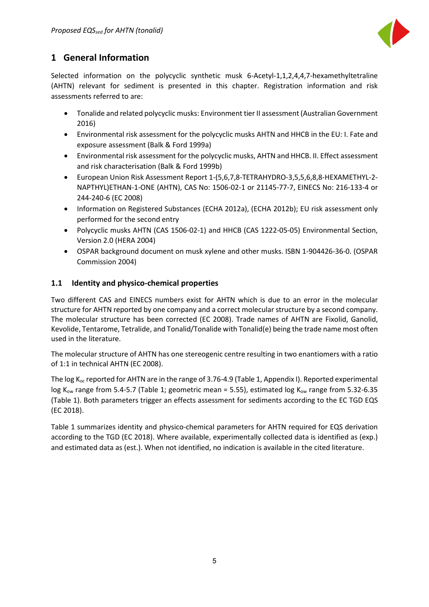

# <span id="page-5-0"></span>**1 General Information**

Selected information on the polycyclic synthetic musk 6-Acetyl-1,1,2,4,4,7-hexamethyltetraline (AHTN) relevant for sediment is presented in this chapter. Registration information and risk assessments referred to are:

- Tonalide and related polycyclic musks: Environment tier II assessment (Australian Government 2016)
- Environmental risk assessment for the polycyclic musks AHTN and HHCB in the EU: I. Fate and exposure assessment (Balk & Ford 1999a)
- Environmental risk assessment for the polycyclic musks, AHTN and HHCB. II. Effect assessment and risk characterisation (Balk & Ford 1999b)
- European Union Risk Assessment Report 1-(5,6,7,8-TETRAHYDRO-3,5,5,6,8,8-HEXAMETHYL-2- NAPTHYL)ETHAN-1-ONE (AHTN), CAS No: 1506-02-1 or 21145-77-7, EINECS No: 216-133-4 or 244-240-6 (EC 2008)
- Information on Registered Substances (ECHA 2012a), (ECHA 2012b); EU risk assessment only performed for the second entry
- Polycyclic musks AHTN (CAS 1506-02-1) and HHCB (CAS 1222-05-05) Environmental Section, Version 2.0 (HERA 2004)
- OSPAR background document on musk xylene and other musks. ISBN 1-904426-36-0. (OSPAR Commission 2004)

#### <span id="page-5-1"></span>**1.1 Identity and physico-chemical properties**

Two different CAS and EINECS numbers exist for AHTN which is due to an error in the molecular structure for AHTN reported by one company and a correct molecular structure by a second company. The molecular structure has been corrected (EC 2008). Trade names of AHTN are Fixolid, Ganolid, Kevolide, Tentarome, Tetralide, and Tonalid/Tonalide with Tonalid(e) being the trade name most often used in the literature.

The molecular structure of AHTN has one stereogenic centre resulting in two enantiomers with a ratio of 1:1 in technical AHTN (EC 2008).

The log  $K_{oc}$  reported for AHTN are in the range of 3.76-4.9 (Table 1, Appendix I). Reported experimental log  $K_{ow}$  range from 5.4-5.7 (Table 1; geometric mean = 5.55), estimated log  $K_{ow}$  range from 5.32-6.35 (Table 1). Both parameters trigger an effects assessment for sediments according to the EC TGD EQS (EC 2018).

Table 1 summarizes identity and physico-chemical parameters for AHTN required for EQS derivation according to the TGD (EC 2018). Where available, experimentally collected data is identified as (exp.) and estimated data as (est.). When not identified, no indication is available in the cited literature.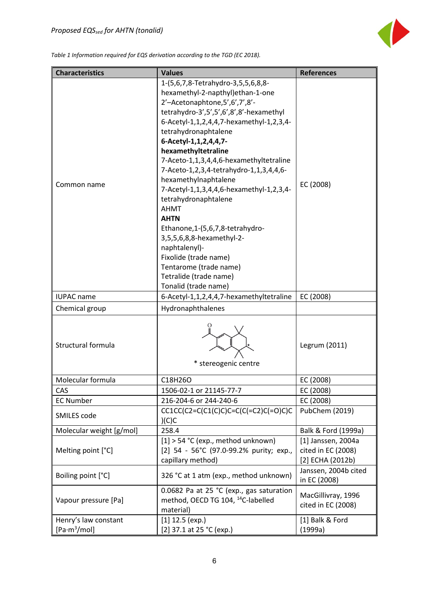

*Table 1 Information required for EQS derivation according to the TGD (EC 2018).*

| <b>Characteristics</b>                           | <b>Values</b>                                                                                                                                                                                                                                                                                                                                                                                                                                                                                                                                                                                                                                                                        | <b>References</b>                                            |
|--------------------------------------------------|--------------------------------------------------------------------------------------------------------------------------------------------------------------------------------------------------------------------------------------------------------------------------------------------------------------------------------------------------------------------------------------------------------------------------------------------------------------------------------------------------------------------------------------------------------------------------------------------------------------------------------------------------------------------------------------|--------------------------------------------------------------|
| Common name                                      | 1-(5,6,7,8-Tetrahydro-3,5,5,6,8,8-<br>hexamethyl-2-napthyl)ethan-1-one<br>2'-Acetonaphtone, 5', 6', 7', 8'-<br>tetrahydro-3',5',5',6',8',8'-hexamethyl<br>6-Acetyl-1,1,2,4,4,7-hexamethyl-1,2,3,4-<br>tetrahydronaphtalene<br>6-Acetyl-1,1,2,4,4,7-<br>hexamethyltetraline<br>7-Aceto-1,1,3,4,4,6-hexamethyltetraline<br>7-Aceto-1,2,3,4-tetrahydro-1,1,3,4,4,6-<br>hexamethylnaphtalene<br>7-Acetyl-1,1,3,4,4,6-hexamethyl-1,2,3,4-<br>tetrahydronaphtalene<br><b>AHMT</b><br><b>AHTN</b><br>Ethanone, 1-(5, 6, 7, 8-tetrahydro-<br>3,5,5,6,8,8-hexamethyl-2-<br>naphtalenyl)-<br>Fixolide (trade name)<br>Tentarome (trade name)<br>Tetralide (trade name)<br>Tonalid (trade name) | EC (2008)                                                    |
| <b>IUPAC</b> name                                | 6-Acetyl-1,1,2,4,4,7-hexamethyltetraline                                                                                                                                                                                                                                                                                                                                                                                                                                                                                                                                                                                                                                             | EC (2008)                                                    |
| Chemical group                                   | Hydronaphthalenes                                                                                                                                                                                                                                                                                                                                                                                                                                                                                                                                                                                                                                                                    |                                                              |
| Structural formula                               | * stereogenic centre                                                                                                                                                                                                                                                                                                                                                                                                                                                                                                                                                                                                                                                                 | Legrum (2011)                                                |
| Molecular formula                                | C18H26O                                                                                                                                                                                                                                                                                                                                                                                                                                                                                                                                                                                                                                                                              | EC (2008)                                                    |
| CAS                                              | 1506-02-1 or 21145-77-7                                                                                                                                                                                                                                                                                                                                                                                                                                                                                                                                                                                                                                                              | EC (2008)                                                    |
| <b>EC Number</b>                                 | 216-204-6 or 244-240-6                                                                                                                                                                                                                                                                                                                                                                                                                                                                                                                                                                                                                                                               | EC (2008)                                                    |
| SMILES code                                      | $CC1CC(C2=C(C1(C)C)C=C(C(C=C2)C(=O)C)C$<br>(C)C                                                                                                                                                                                                                                                                                                                                                                                                                                                                                                                                                                                                                                      | PubChem (2019)                                               |
| Molecular weight [g/mol]                         | 258.4                                                                                                                                                                                                                                                                                                                                                                                                                                                                                                                                                                                                                                                                                | Balk & Ford (1999a)                                          |
| Melting point [°C]                               | $[1]$ > 54 °C (exp., method unknown)<br>[2] 54 - 56°C (97.0-99.2% purity; exp.,<br>capillary method)                                                                                                                                                                                                                                                                                                                                                                                                                                                                                                                                                                                 | [1] Janssen, 2004a<br>cited in EC (2008)<br>[2] ECHA (2012b) |
| Boiling point [°C]                               | 326 °C at 1 atm (exp., method unknown)                                                                                                                                                                                                                                                                                                                                                                                                                                                                                                                                                                                                                                               | Janssen, 2004b cited<br>in EC (2008)                         |
| Vapour pressure [Pa]                             | 0.0682 Pa at 25 °C (exp., gas saturation<br>method, OECD TG 104, <sup>14</sup> C-labelled<br>material)                                                                                                                                                                                                                                                                                                                                                                                                                                                                                                                                                                               | MacGillivray, 1996<br>cited in EC (2008)                     |
| Henry's law constant<br>[Pa·m <sup>3</sup> /mol] | $[1]$ 12.5 (exp.)<br>[2] 37.1 at 25 °C (exp.)                                                                                                                                                                                                                                                                                                                                                                                                                                                                                                                                                                                                                                        | [1] Balk & Ford<br>(1999a)                                   |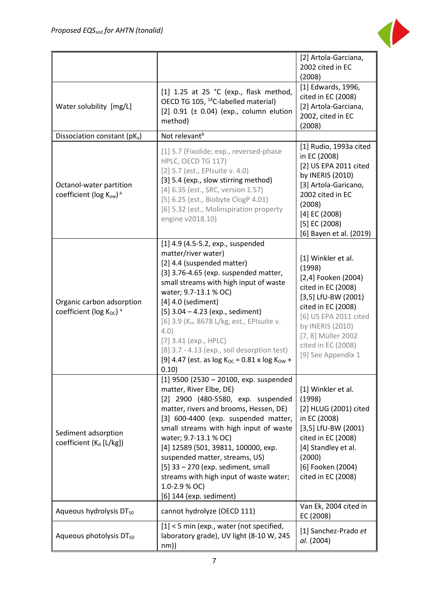

|                                                                        |                                                                                                                                                                                                                                                                                                                                                                                                                                                                                  | [2] Artola-Garciana,<br>2002 cited in EC<br>(2008)                                                                                                                                                                                      |
|------------------------------------------------------------------------|----------------------------------------------------------------------------------------------------------------------------------------------------------------------------------------------------------------------------------------------------------------------------------------------------------------------------------------------------------------------------------------------------------------------------------------------------------------------------------|-----------------------------------------------------------------------------------------------------------------------------------------------------------------------------------------------------------------------------------------|
| Water solubility [mg/L]                                                | [1] 1.25 at 25 °C (exp., flask method,<br>OECD TG 105, <sup>14</sup> C-labelled material)<br>$[2]$ 0.91 ( $\pm$ 0.04) (exp., column elution<br>method)                                                                                                                                                                                                                                                                                                                           | [1] Edwards, 1996,<br>cited in EC (2008)<br>[2] Artola-Garciana,<br>2002, cited in EC<br>(2008)                                                                                                                                         |
| Dissociation constant (pKa)                                            | Not relevant <sup>b</sup>                                                                                                                                                                                                                                                                                                                                                                                                                                                        |                                                                                                                                                                                                                                         |
| Octanol-water partition<br>coefficient (log Kow) <sup>a</sup>          | [1] 5.7 (Fixolide; exp., reversed-phase<br>HPLC, OECD TG 117)<br>[2] 5.7 (est., EPIsuite v. 4.0)<br>[3] 5.4 (exp., slow stirring method)<br>[4] 6.35 (est., SRC, version 1.57)<br>[5] 6.25 (est., Biobyte ClogP 4.01)<br>[6] 5.32 (est., Molinspiration property<br>engine v2018.10)                                                                                                                                                                                             | [1] Rudio, 1993a cited<br>in EC (2008)<br>[2] US EPA 2011 cited<br>by INERIS (2010)<br>[3] Artola-Garicano,<br>2002 cited in EC<br>(2008)<br>$[4]$ EC (2008)<br>$[5]$ EC (2008)<br>[6] Bayen et al. (2019)                              |
| Organic carbon adsorption<br>coefficient ( $log K_{OC}$ ) <sup>a</sup> | $[1]$ 4.9 (4.5-5.2, exp., suspended<br>matter/river water)<br>[2] 4.4 (suspended matter)<br>[3] 3.76-4.65 (exp. suspended matter,<br>small streams with high input of waste<br>water; 9.7-13.1 % OC)<br>$[4]$ 4.0 (sediment)<br>$[5]$ 3.04 – 4.23 (exp., sediment)<br>[6] 3.9 (K <sub>oc</sub> 8678 L/kg, est., EPIsuite v.<br>4.0)<br>$[7]$ 3.41 (exp., HPLC)<br>[8] 3.7 - 4.13 (exp., soil desorption test)<br>[9] 4.47 (est. as $log K_{OC} = 0.81$ x $log K_{OW}$ +<br>0.10) | [1] Winkler et al.<br>(1998)<br>[2,4] Fooken (2004)<br>cited in EC (2008)<br>$[3,5]$ LfU-BW (2001)<br>cited in EC (2008)<br>[6] US EPA 2011 cited<br>by INERIS (2010)<br>[7, 8] Müller 2002<br>cited in EC (2008)<br>[9] See Appendix 1 |
| Sediment adsorption<br>coefficient (K <sub>d</sub> [L/kg])             | $[1]$ 9500 (2530 - 20100, exp. suspended<br>matter, River Elbe, DE)<br>[2] 2900 (480-5580, exp. suspended<br>matter, rivers and brooms, Hessen, DE)<br>[3] 600-4400 (exp. suspended matter,<br>small streams with high input of waste<br>water; 9.7-13.1 % OC)<br>[4] 12589 (501, 39811, 100000, exp.<br>suspended matter, streams, US)<br>[5] 33 - 270 (exp. sediment, small<br>streams with high input of waste water;<br>1.0-2.9 % OC)<br>[6] 144 (exp. sediment)             | [1] Winkler et al.<br>(1998)<br>[2] HLUG (2001) cited<br>in EC (2008)<br>$[3,5]$ LfU-BW (2001)<br>cited in EC (2008)<br>[4] Standley et al.<br>(2000)<br>[6] Fooken (2004)<br>cited in EC (2008)                                        |
| Aqueous hydrolysis DT <sub>50</sub>                                    | cannot hydrolyze (OECD 111)                                                                                                                                                                                                                                                                                                                                                                                                                                                      | Van Ek, 2004 cited in<br>EC (2008)                                                                                                                                                                                                      |
| Aqueous photolysis DT <sub>50</sub>                                    | $[1]$ < 5 min (exp., water (not specified,<br>laboratory grade), UV light (8-10 W, 245<br>nm)                                                                                                                                                                                                                                                                                                                                                                                    | [1] Sanchez-Prado et<br>al. (2004)                                                                                                                                                                                                      |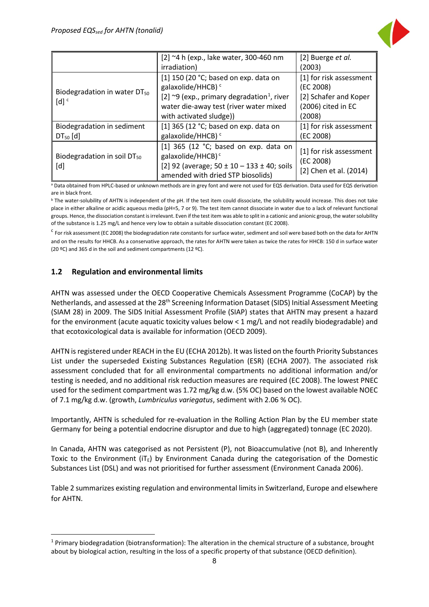

|                                                                | [2] ~4 h (exp., lake water, 300-460 nm<br>irradiation)                                                                                                                                                      | [2] Buerge et al.<br>(2003)                                                                   |
|----------------------------------------------------------------|-------------------------------------------------------------------------------------------------------------------------------------------------------------------------------------------------------------|-----------------------------------------------------------------------------------------------|
| Biodegradation in water DT <sub>50</sub><br>$[d]$ <sup>c</sup> | [1] 150 (20 °C; based on exp. data on<br>galaxolide/HHCB) <sup>c</sup><br>[2] $\sim$ 9 (exp., primary degradation <sup>1</sup> , river<br>water die-away test (river water mixed<br>with activated sludge)) | [1] for risk assessment<br>(EC 2008)<br>[2] Schafer and Koper<br>(2006) cited in EC<br>(2008) |
| Biodegradation in sediment<br>$DT50$ [d]                       | [1] 365 (12 °C; based on exp. data on<br>galaxolide/HHCB) <sup>c</sup>                                                                                                                                      | [1] for risk assessment<br>(EC 2008)                                                          |
| Biodegradation in soil DT <sub>50</sub><br>[d]                 | [1] 365 (12 $^{\circ}$ C; based on exp. data on<br>galaxolide/HHCB) <sup>c</sup><br>[2] 92 (average; $50 \pm 10 - 133 \pm 40$ ; soils<br>amended with dried STP biosolids)                                  | [1] for risk assessment<br>(EC 2008)<br>[2] Chen et al. (2014)                                |

a Data obtained from HPLC-based or unknown methods are in grey font and were not used for EQS derivation. Data used for EQS derivation are in black front.

<sup>b</sup> The water-solubility of AHTN is independent of the pH. If the test item could dissociate, the solubility would increase. This does not take place in either alkaline or acidic aqueous media (pH=5, 7 or 9). The test item cannot dissociate in water due to a lack of relevant functional groups. Hence, the dissociation constant is irrelevant. Even if the test item was able to split in a cationic and anionic group, the water solubility of the substance is 1.25 mg/L and hence very low to obtain a suitable dissociation constant (EC 2008).

<sup>c</sup> For risk assessment (EC 2008) the biodegradation rate constants for surface water, sediment and soil were based both on the data for AHTN and on the results for HHCB. As a conservative approach, the rates for AHTN were taken as twice the rates for HHCB: 150 d in surface water (20 ºC) and 365 d in the soil and sediment compartments (12 ºC).

#### <span id="page-8-0"></span>**1.2 Regulation and environmental limits**

AHTN was assessed under the OECD Cooperative Chemicals Assessment Programme (CoCAP) by the Netherlands, and assessed at the 28th Screening Information Dataset (SIDS) Initial Assessment Meeting (SIAM 28) in 2009. The SIDS Initial Assessment Profile (SIAP) states that AHTN may present a hazard for the environment (acute aquatic toxicity values below < 1 mg/L and not readily biodegradable) and that ecotoxicological data is available for information (OECD 2009).

AHTN is registered under REACH in the EU (ECHA 2012b). It was listed on the fourth Priority Substances List under the superseded Existing Substances Regulation (ESR) (ECHA 2007). The associated risk assessment concluded that for all environmental compartments no additional information and/or testing is needed, and no additional risk reduction measures are required (EC 2008). The lowest PNEC used for the sediment compartment was 1.72 mg/kg d.w. (5% OC) based on the lowest available NOEC of 7.1 mg/kg d.w. (growth, *Lumbriculus variegatus*, sediment with 2.06 % OC).

Importantly, AHTN is scheduled for re-evaluation in the Rolling Action Plan by the EU member state Germany for being a potential endocrine disruptor and due to high (aggregated) tonnage (EC 2020).

In Canada, AHTN was categorised as not Persistent (P), not Bioaccumulative (not B), and Inherently Toxic to the Environment ( $iT<sub>E</sub>$ ) by Environment Canada during the categorisation of the Domestic Substances List (DSL) and was not prioritised for further assessment (Environment Canada 2006).

Table 2 summarizes existing regulation and environmental limits in Switzerland, Europe and elsewhere for AHTN.

<span id="page-8-1"></span> <sup>1</sup> Primary biodegradation (biotransformation): The alteration in the chemical structure of a substance, brought about by biological action, resulting in the loss of a specific property of that substance (OECD definition).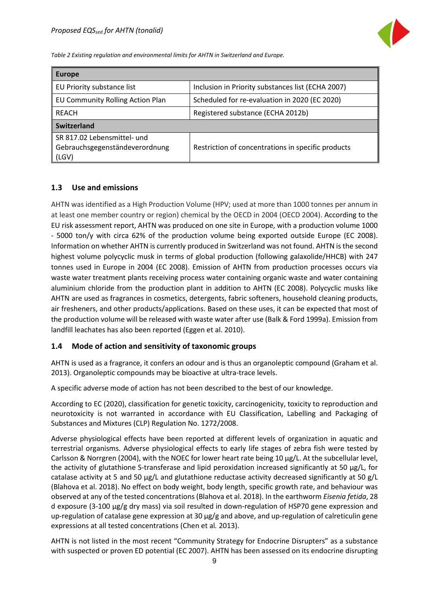

*Table 2 Existing regulation and environmental limits for AHTN in Switzerland and Europe.*

| <b>Europe</b>                                                          |                                                    |
|------------------------------------------------------------------------|----------------------------------------------------|
| EU Priority substance list                                             | Inclusion in Priority substances list (ECHA 2007)  |
| EU Community Rolling Action Plan                                       | Scheduled for re-evaluation in 2020 (EC 2020)      |
| REACH                                                                  | Registered substance (ECHA 2012b)                  |
| Switzerland                                                            |                                                    |
| SR 817.02 Lebensmittel- und<br>Gebrauchsgegenständeverordnung<br>(LGV) | Restriction of concentrations in specific products |

#### <span id="page-9-0"></span>**1.3 Use and emissions**

AHTN was identified as a High Production Volume (HPV; used at more than 1000 tonnes per annum in at least one member country or region) chemical by the OECD in 2004 (OECD 2004). According to the EU risk assessment report, AHTN was produced on one site in Europe, with a production volume 1000 - 5000 ton/y with circa 62% of the production volume being exported outside Europe (EC 2008). Information on whether AHTN is currently produced in Switzerland was not found. AHTN is the second highest volume polycyclic musk in terms of global production (following galaxolide/HHCB) with 247 tonnes used in Europe in 2004 (EC 2008). Emission of AHTN from production processes occurs via waste water treatment plants receiving process water containing organic waste and water containing aluminium chloride from the production plant in addition to AHTN (EC 2008). Polycyclic musks like AHTN are used as fragrances in cosmetics, detergents, fabric softeners, household cleaning products, air fresheners, and other products/applications. Based on these uses, it can be expected that most of the production volume will be released with waste water after use (Balk & Ford 1999a). Emission from landfill leachates has also been reported (Eggen et al. 2010).

#### <span id="page-9-1"></span>**1.4 Mode of action and sensitivity of taxonomic groups**

AHTN is used as a fragrance, it confers an odour and is thus an organoleptic compound (Graham et al. 2013). Organoleptic compounds may be bioactive at ultra-trace levels.

A specific adverse mode of action has not been described to the best of our knowledge.

According to EC (2020), classification for genetic toxicity, carcinogenicity, toxicity to reproduction and neurotoxicity is not warranted in accordance with EU Classification, Labelling and Packaging of Substances and Mixtures (CLP) Regulation No. 1272/2008.

Adverse physiological effects have been reported at different levels of organization in aquatic and terrestrial organisms. Adverse physiological effects to early life stages of zebra fish were tested by Carlsson & Norrgren (2004), with the NOEC for lower heart rate being 10 μg/L. At the subcellular level, the activity of glutathione S-transferase and lipid peroxidation increased significantly at 50 µg/L, for catalase activity at 5 and 50 µg/L and glutathione reductase activity decreased significantly at 50 g/L (Blahova et al. 2018). No effect on body weight, body length, specific growth rate, and behaviour was observed at any of the tested concentrations (Blahova et al. 2018). In the earthworm *Eisenia fetida*, 28 d exposure (3-100 μg/g dry mass) via soil resulted in down-regulation of HSP70 gene expression and up-regulation of catalase gene expression at 30 μg/g and above, and up-regulation of calreticulin gene expressions at all tested concentrations (Chen et al*.* 2013).

AHTN is not listed in the most recent "Community Strategy for Endocrine Disrupters" as a substance with suspected or proven ED potential (EC 2007). AHTN has been assessed on its endocrine disrupting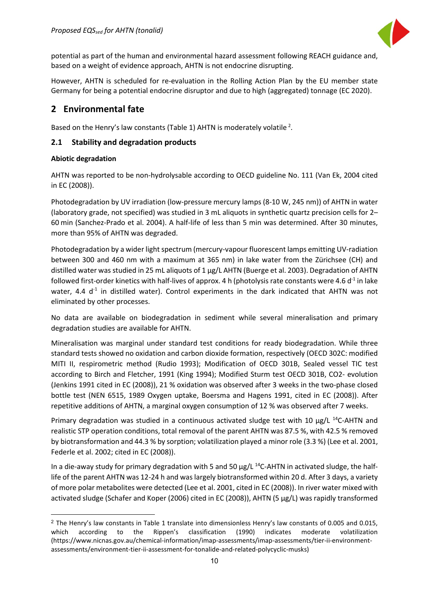

potential as part of the human and environmental hazard assessment following REACH guidance and, based on a weight of evidence approach, AHTN is not endocrine disrupting.

However, AHTN is scheduled for re-evaluation in the Rolling Action Plan by the EU member state Germany for being a potential endocrine disruptor and due to high (aggregated) tonnage (EC 2020).

#### <span id="page-10-0"></span>**2 Environmental fate**

Based on the Henry's law constants (Table 1) AHTN is moderately volatile  $2$ .

#### <span id="page-10-1"></span>**2.1 Stability and degradation products**

#### **Abiotic degradation**

 $\overline{a}$ 

AHTN was reported to be non-hydrolysable according to OECD guideline No. 111 (Van Ek, 2004 cited in EC (2008)).

Photodegradation by UV irradiation (low-pressure mercury lamps (8-10 W, 245 nm)) of AHTN in water (laboratory grade, not specified) was studied in 3 mL aliquots in synthetic quartz precision cells for 2– 60 min (Sanchez-Prado et al. 2004). A half-life of less than 5 min was determined. After 30 minutes, more than 95% of AHTN was degraded.

Photodegradation by a wider light spectrum (mercury-vapour fluorescent lamps emitting UV-radiation between 300 and 460 nm with a maximum at 365 nm) in lake water from the Zürichsee (CH) and distilled water was studied in 25 mL aliquots of 1 μg/L AHTN (Buerge et al. 2003). Degradation of AHTN followed first-order kinetics with half-lives of approx. 4 h (photolysis rate constants were 4.6  $d<sup>-1</sup>$  in lake water, 4.4  $d<sup>-1</sup>$  in distilled water). Control experiments in the dark indicated that AHTN was not eliminated by other processes.

No data are available on biodegradation in sediment while several mineralisation and primary degradation studies are available for AHTN.

Mineralisation was marginal under standard test conditions for ready biodegradation. While three standard tests showed no oxidation and carbon dioxide formation, respectively (OECD 302C: modified MITI II, respirometric method (Rudio 1993); Modification of OECD 301B, Sealed vessel TIC test according to Birch and Fletcher, 1991 (King 1994); Modified Sturm test OECD 301B, CO2- evolution (Jenkins 1991 cited in EC (2008)), 21 % oxidation was observed after 3 weeks in the two-phase closed bottle test (NEN 6515, 1989 Oxygen uptake, Boersma and Hagens 1991, cited in EC (2008)). After repetitive additions of AHTN, a marginal oxygen consumption of 12 % was observed after 7 weeks.

Primary degradation was studied in a continuous activated sludge test with 10  $\mu$ g/L <sup>14</sup>C-AHTN and realistic STP operation conditions, total removal of the parent AHTN was 87.5 %, with 42.5 % removed by biotransformation and 44.3 % by sorption; volatilization played a minor role (3.3 %) (Lee et al. 2001, Federle et al. 2002; cited in EC (2008)).

In a die-away study for primary degradation with 5 and 50  $\mu$ g/L <sup>14</sup>C-AHTN in activated sludge, the halflife of the parent AHTN was 12-24 h and was largely biotransformed within 20 d. After 3 days, a variety of more polar metabolites were detected (Lee et al. 2001, cited in EC (2008)). In river water mixed with activated sludge (Schafer and Koper (2006) cited in EC (2008)), AHTN (5 μg/L) was rapidly transformed

<span id="page-10-2"></span><sup>&</sup>lt;sup>2</sup> The Henry's law constants in Table 1 translate into dimensionless Henry's law constants of 0.005 and 0.015, which according to the Rippen's classification (1990) indicates moderate volatilization (https://www.nicnas.gov.au/chemical-information/imap-assessments/imap-assessments/tier-ii-environmentassessments/environment-tier-ii-assessment-for-tonalide-and-related-polycyclic-musks)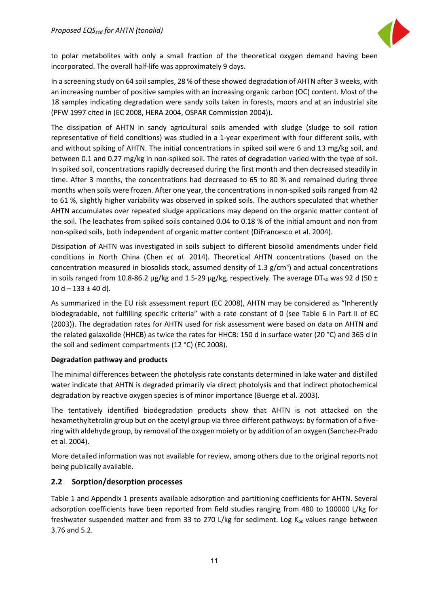

to polar metabolites with only a small fraction of the theoretical oxygen demand having been incorporated. The overall half-life was approximately 9 days.

In a screening study on 64 soil samples, 28 % of these showed degradation of AHTN after 3 weeks, with an increasing number of positive samples with an increasing organic carbon (OC) content. Most of the 18 samples indicating degradation were sandy soils taken in forests, moors and at an industrial site (PFW 1997 cited in (EC 2008, HERA 2004, OSPAR Commission 2004)).

The dissipation of AHTN in sandy agricultural soils amended with sludge (sludge to soil ration representative of field conditions) was studied in a 1-year experiment with four different soils, with and without spiking of AHTN. The initial concentrations in spiked soil were 6 and 13 mg/kg soil, and between 0.1 and 0.27 mg/kg in non-spiked soil. The rates of degradation varied with the type of soil. In spiked soil, concentrations rapidly decreased during the first month and then decreased steadily in time. After 3 months, the concentrations had decreased to 65 to 80 % and remained during three months when soils were frozen. After one year, the concentrations in non-spiked soils ranged from 42 to 61 %, slightly higher variability was observed in spiked soils. The authors speculated that whether AHTN accumulates over repeated sludge applications may depend on the organic matter content of the soil. The leachates from spiked soils contained 0.04 to 0.18 % of the initial amount and non from non-spiked soils, both independent of organic matter content (DiFrancesco et al. 2004).

Dissipation of AHTN was investigated in soils subject to different biosolid amendments under field conditions in North China (Chen *et al.* 2014). Theoretical AHTN concentrations (based on the concentration measured in biosolids stock, assumed density of 1.3  $g/cm^3$ ) and actual concentrations in soils ranged from 10.8-86.2  $\mu$ g/kg and 1.5-29  $\mu$ g/kg, respectively. The average DT<sub>50</sub> was 92 d (50 ±  $10 d - 133 \pm 40 d$ .

As summarized in the EU risk assessment report (EC 2008), AHTN may be considered as "Inherently biodegradable, not fulfilling specific criteria" with a rate constant of 0 (see Table 6 in Part II of EC (2003)). The degradation rates for AHTN used for risk assessment were based on data on AHTN and the related galaxolide (HHCB) as twice the rates for HHCB: 150 d in surface water (20 °C) and 365 d in the soil and sediment compartments (12 °C) (EC 2008).

#### **Degradation pathway and products**

The minimal differences between the photolysis rate constants determined in lake water and distilled water indicate that AHTN is degraded primarily via direct photolysis and that indirect photochemical degradation by reactive oxygen species is of minor importance (Buerge et al. 2003).

The tentatively identified biodegradation products show that AHTN is not attacked on the hexamethyltetralin group but on the acetyl group via three different pathways: by formation of a fivering with aldehyde group, by removal of the oxygen moiety or by addition of an oxygen (Sanchez-Prado et al. 2004).

More detailed information was not available for review, among others due to the original reports not being publically available.

#### <span id="page-11-0"></span>**2.2 Sorption/desorption processes**

Table 1 and Appendix 1 presents available adsorption and partitioning coefficients for AHTN. Several adsorption coefficients have been reported from field studies ranging from 480 to 100000 L/kg for freshwater suspended matter and from 33 to 270 L/kg for sediment. Log  $K_{oc}$  values range between 3.76 and 5.2.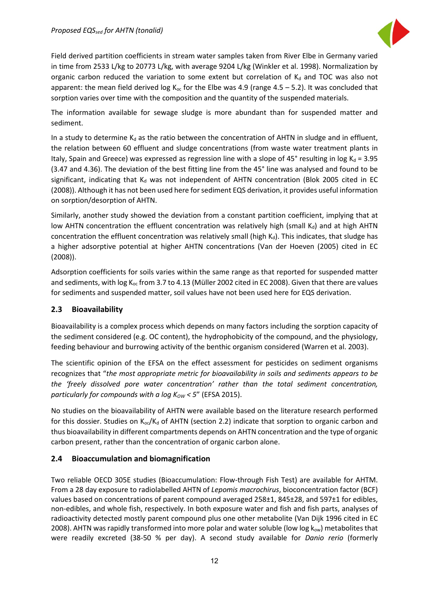

Field derived partition coefficients in stream water samples taken from River Elbe in Germany varied in time from 2533 L/kg to 20773 L/kg, with average 9204 L/kg (Winkler et al. 1998). Normalization by organic carbon reduced the variation to some extent but correlation of  $K_d$  and TOC was also not apparent: the mean field derived log  $K_{oc}$  for the Elbe was 4.9 (range 4.5 – 5.2). It was concluded that sorption varies over time with the composition and the quantity of the suspended materials.

The information available for sewage sludge is more abundant than for suspended matter and sediment.

In a study to determine  $K_d$  as the ratio between the concentration of AHTN in sludge and in effluent, the relation between 60 effluent and sludge concentrations (from waste water treatment plants in Italy, Spain and Greece) was expressed as regression line with a slope of 45° resulting in log  $K_d = 3.95$ (3.47 and 4.36). The deviation of the best fitting line from the 45° line was analysed and found to be significant, indicating that  $K_d$  was not independent of AHTN concentration (Blok 2005 cited in EC (2008)). Although it has not been used here for sediment EQS derivation, it provides useful information on sorption/desorption of AHTN.

Similarly, another study showed the deviation from a constant partition coefficient, implying that at low AHTN concentration the effluent concentration was relatively high (small  $K_d$ ) and at high AHTN concentration the effluent concentration was relatively small (high  $K_d$ ). This indicates, that sludge has a higher adsorptive potential at higher AHTN concentrations (Van der Hoeven (2005) cited in EC (2008)).

Adsorption coefficients for soils varies within the same range as that reported for suspended matter and sediments, with log  $K_{oc}$  from 3.7 to 4.13 (Müller 2002 cited in EC 2008). Given that there are values for sediments and suspended matter, soil values have not been used here for EQS derivation.

#### <span id="page-12-0"></span>**2.3 Bioavailability**

Bioavailability is a complex process which depends on many factors including the sorption capacity of the sediment considered (e.g. OC content), the hydrophobicity of the compound, and the physiology, feeding behaviour and burrowing activity of the benthic organism considered (Warren et al. 2003).

The scientific opinion of the EFSA on the effect assessment for pesticides on sediment organisms recognizes that "*the most appropriate metric for bioavailability in soils and sediments appears to be the 'freely dissolved pore water concentration' rather than the total sediment concentration, particularly for compounds with a log K<sub>ow</sub> < 5" (EFSA 2015).* 

No studies on the bioavailability of AHTN were available based on the literature research performed for this dossier. Studies on  $K_{oc}/K_d$  of AHTN (section 2.2) indicate that sorption to organic carbon and thus bioavailability in different compartments depends on AHTN concentration and the type of organic carbon present, rather than the concentration of organic carbon alone.

#### <span id="page-12-1"></span>**2.4 Bioaccumulation and biomagnification**

Two reliable OECD 305E studies (Bioaccumulation: Flow-through Fish Test) are available for AHTM. From a 28 day exposure to radiolabelled AHTN of *Lepomis macrochirus*, bioconcentration factor (BCF) values based on concentrations of parent compound averaged 258±1, 845±28, and 597±1 for edibles, non-edibles, and whole fish, respectively. In both exposure water and fish and fish parts, analyses of radioactivity detected mostly parent compound plus one other metabolite (Van Dijk 1996 cited in EC 2008). AHTN was rapidly transformed into more polar and water soluble (low log  $k_{ow}$ ) metabolites that were readily excreted (38-50 % per day). A second study available for *Danio rerio* (formerly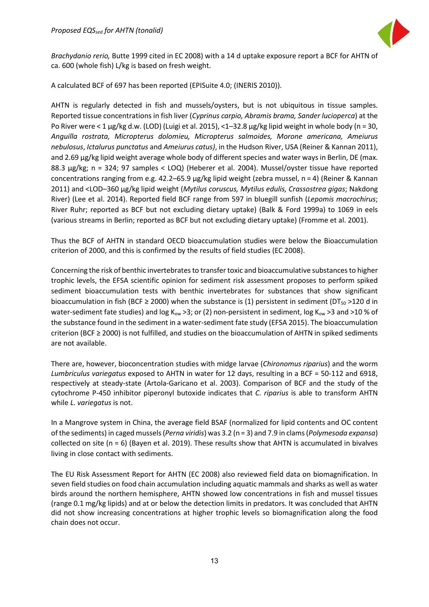

*Brachydanio rerio,* Butte 1999 cited in EC 2008) with a 14 d uptake exposure report a BCF for AHTN of ca. 600 (whole fish) L/kg is based on fresh weight.

A calculated BCF of 697 has been reported (EPISuite 4.0; (INERIS 2010)).

AHTN is regularly detected in fish and mussels/oysters, but is not ubiquitous in tissue samples. Reported tissue concentrations in fish liver (*Cyprinus carpio, Abramis brama, Sander lucioperca*) at the Po River were < 1 µg/kg d.w. (LOD) (Luigi et al. 2015), <1–32.8 µg/kg lipid weight in whole body (n = 30, *Anguilla rostrata, Micropterus dolomieu, Micropterus salmoides, Morone americana, Ameiurus nebulosus*, *Ictalurus punctatus* and *Ameiurus catus)*, in the Hudson River, USA (Reiner & Kannan 2011), and 2.69  $\mu$ g/kg lipid weight average whole body of different species and water ways in Berlin, DE (max. 88.3 µg/kg; n = 324; 97 samples < LOQ) (Heberer et al. 2004). Mussel/oyster tissue have reported concentrations ranging from e.g. 42.2–65.9 µg/kg lipid weight (zebra mussel, n = 4) (Reiner & Kannan 2011) and <LOD–360 µg/kg lipid weight (*Mytilus coruscus, Mytilus edulis, Crassostrea gigas*; Nakdong River) (Lee et al. 2014). Reported field BCF range from 597 in bluegill sunfish (*Lepomis macrochirus*; River Ruhr; reported as BCF but not excluding dietary uptake) (Balk & Ford 1999a) to 1069 in eels (various streams in Berlin; reported as BCF but not excluding dietary uptake) (Fromme et al. 2001).

Thus the BCF of AHTN in standard OECD bioaccumulation studies were below the Bioaccumulation criterion of 2000, and this is confirmed by the results of field studies (EC 2008).

Concerning the risk of benthic invertebrates to transfer toxic and bioaccumulative substances to higher trophic levels, the EFSA scientific opinion for sediment risk assessment proposes to perform spiked sediment bioaccumulation tests with benthic invertebrates for substances that show significant bioaccumulation in fish (BCF  $\geq$  2000) when the substance is (1) persistent in sediment (DT<sub>50</sub> >120 d in water-sediment fate studies) and  $log K_{ow} > 3$ ; or (2) non-persistent in sediment,  $log K_{ow} > 3$  and  $> 10 %$  of the substance found in the sediment in a water-sediment fate study (EFSA 2015). The bioaccumulation criterion (BCF ≥ 2000) is not fulfilled, and studies on the bioaccumulation of AHTN in spiked sediments are not available.

There are, however, bioconcentration studies with midge larvae (*Chironomus riparius*) and the worm *Lumbriculus variegatus* exposed to AHTN in water for 12 days, resulting in a BCF = 50-112 and 6918, respectively at steady-state (Artola-Garicano et al. 2003). Comparison of BCF and the study of the cytochrome P-450 inhibitor piperonyl butoxide indicates that *C. riparius* is able to transform AHTN while *L. variegatus* is not.

In a Mangrove system in China, the average field BSAF (normalized for lipid contents and OC content of the sediments) in caged mussels (*Perna viridis*) was 3.2 (n = 3) and 7.9 in clams (*Polymesoda expansa*) collected on site (n = 6) (Bayen et al. 2019). These results show that AHTN is accumulated in bivalves living in close contact with sediments.

The EU Risk Assessment Report for AHTN (EC 2008) also reviewed field data on biomagnification. In seven field studies on food chain accumulation including aquatic mammals and sharks as well as water birds around the northern hemisphere, AHTN showed low concentrations in fish and mussel tissues (range 0.1 mg/kg lipids) and at or below the detection limits in predators. It was concluded that AHTN did not show increasing concentrations at higher trophic levels so biomagnification along the food chain does not occur.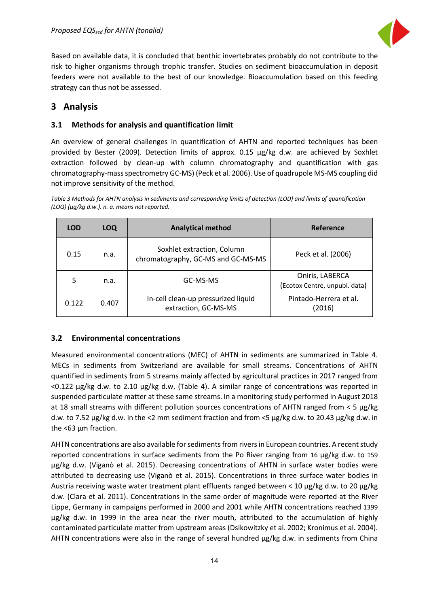

Based on available data, it is concluded that benthic invertebrates probably do not contribute to the risk to higher organisms through trophic transfer. Studies on sediment bioaccumulation in deposit feeders were not available to the best of our knowledge. Bioaccumulation based on this feeding strategy can thus not be assessed.

## <span id="page-14-0"></span>**3 Analysis**

#### <span id="page-14-1"></span>**3.1 Methods for analysis and quantification limit**

An overview of general challenges in quantification of AHTN and reported techniques has been provided by Bester (2009). Detection limits of approx. 0.15 µg/kg d.w. are achieved by Soxhlet extraction followed by clean-up with column chromatography and quantification with gas chromatography-mass spectrometry GC-MS) (Peck et al. 2006). Use of quadrupole MS-MS coupling did not improve sensitivity of the method.

*Table 3 Methods for AHTN analysis in sediments and corresponding limits of detection (LOD) and limits of quantification (LOQ) (µg/kg d.w.). n. a. means not reported.*

| <b>LOD</b> | <b>LOQ</b> | <b>Analytical method</b>                                         | Reference                                        |
|------------|------------|------------------------------------------------------------------|--------------------------------------------------|
| 0.15       | n.a.       | Soxhlet extraction, Column<br>chromatography, GC-MS and GC-MS-MS | Peck et al. (2006)                               |
| 5          | n.a.       | GC-MS-MS                                                         | Oniris, LABERCA<br>(Ecotox Centre, unpubl. data) |
| 0.122      | 0.407      | In-cell clean-up pressurized liquid<br>extraction, GC-MS-MS      | Pintado-Herrera et al.<br>(2016)                 |

#### <span id="page-14-2"></span>**3.2 Environmental concentrations**

Measured environmental concentrations (MEC) of AHTN in sediments are summarized in Table 4. MECs in sediments from Switzerland are available for small streams. Concentrations of AHTN quantified in sediments from 5 streams mainly affected by agricultural practices in 2017 ranged from <0.122 µg/kg d.w. to 2.10 µg/kg d.w. (Table 4). A similar range of concentrations was reported in suspended particulate matter at these same streams. In a monitoring study performed in August 2018 at 18 small streams with different pollution sources concentrations of AHTN ranged from  $\lt$  5 µg/kg d.w. to 7.52 µg/kg d.w. in the <2 mm sediment fraction and from <5 µg/kg d.w. to 20.43 µg/kg d.w. in the <63 µm fraction.

AHTN concentrations are also available for sediments from rivers in European countries. A recent study reported concentrations in surface sediments from the Po River ranging from 16 µg/kg d.w. to 159 µg/kg d.w. (Viganò et al. 2015). Decreasing concentrations of AHTN in surface water bodies were attributed to decreasing use (Viganò et al. 2015). Concentrations in three surface water bodies in Austria receiving waste water treatment plant effluents ranged between < 10  $\mu$ g/kg d.w. to 20  $\mu$ g/kg d.w. (Clara et al. 2011). Concentrations in the same order of magnitude were reported at the River Lippe, Germany in campaigns performed in 2000 and 2001 while AHTN concentrations reached 1399 µg/kg d.w. in 1999 in the area near the river mouth, attributed to the accumulation of highly contaminated particulate matter from upstream areas (Dsikowitzky et al. 2002; Kronimus et al. 2004). AHTN concentrations were also in the range of several hundred  $\mu$ g/kg d.w. in sediments from China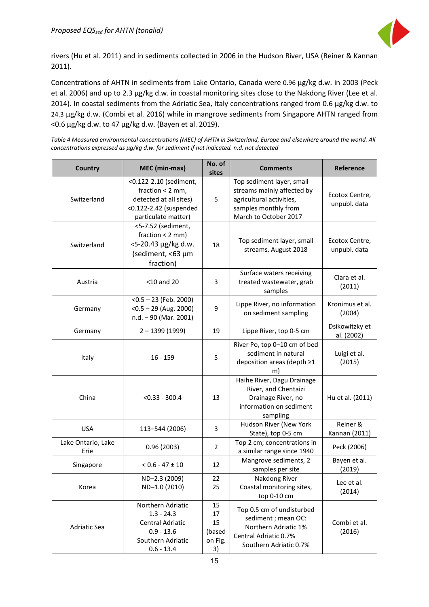

rivers (Hu et al. 2011) and in sediments collected in 2006 in the Hudson River, USA (Reiner & Kannan 2011).

Concentrations of AHTN in sediments from Lake Ontario, Canada were 0.96 µg/kg d.w. in 2003 (Peck et al. 2006) and up to 2.3 µg/kg d.w. in coastal monitoring sites close to the Nakdong River (Lee et al. 2014). In coastal sediments from the Adriatic Sea, Italy concentrations ranged from 0.6 µg/kg d.w. to 24.3 µg/kg d.w. (Combi et al. 2016) while in mangrove sediments from Singapore AHTN ranged from <0.6 µg/kg d.w. to 47 µg/kg d.w. (Bayen et al. 2019).

*Table 4 Measured environmental concentrations (MEC) of AHTN in Switzerland, Europe and elsewhere around the world. All concentrations expressed as µg/kg d.w. for sediment if not indicated. n.d. not detected*

| <b>Country</b>             | MEC (min-max)                                                                                                           | No. of<br>sites                           | <b>Comments</b>                                                                                                                      | <b>Reference</b>               |
|----------------------------|-------------------------------------------------------------------------------------------------------------------------|-------------------------------------------|--------------------------------------------------------------------------------------------------------------------------------------|--------------------------------|
| Switzerland                | <0.122-2.10 (sediment,<br>fraction $<$ 2 mm,<br>detected at all sites)<br><0.122-2.42 (suspended<br>particulate matter) | 5                                         | Top sediment layer, small<br>streams mainly affected by<br>agricultural activities,<br>samples monthly from<br>March to October 2017 | Ecotox Centre,<br>unpubl. data |
| Switzerland                | <5-7.52 (sediment,<br>fraction $< 2$ mm)<br><5-20.43 µg/kg d.w.<br>(sediment, <63 µm<br>fraction)                       | 18                                        | Top sediment layer, small<br>streams, August 2018                                                                                    | Ecotox Centre,<br>unpubl. data |
| Austria                    | $<$ 10 and 20                                                                                                           | 3                                         | Surface waters receiving<br>treated wastewater, grab<br>samples                                                                      | Clara et al.<br>(2011)         |
| Germany                    | $<$ 0.5 – 23 (Feb. 2000)<br>$<$ 0.5 – 29 (Aug. 2000)<br>$n.d. - 90$ (Mar. 2001)                                         | 9                                         | Lippe River, no information<br>on sediment sampling                                                                                  | Kronimus et al.<br>(2004)      |
| Germany                    | $2 - 1399(1999)$                                                                                                        | 19                                        | Lippe River, top 0-5 cm                                                                                                              | Dsikowitzky et<br>al. (2002)   |
| Italy                      | $16 - 159$                                                                                                              | 5                                         | River Po, top 0-10 cm of bed<br>sediment in natural<br>deposition areas (depth ≥1<br>m)                                              | Luigi et al.<br>(2015)         |
| China                      | $< 0.33 - 300.4$                                                                                                        | 13                                        | Haihe River, Dagu Drainage<br>River, and Chentaizi<br>Drainage River, no<br>information on sediment<br>sampling                      | Hu et al. (2011)               |
| <b>USA</b>                 | 113-544 (2006)                                                                                                          | 3                                         | Hudson River (New York<br>State), top 0-5 cm                                                                                         | Reiner &<br>Kannan (2011)      |
| Lake Ontario, Lake<br>Erie | 0.96(2003)                                                                                                              | $\overline{2}$                            | Top 2 cm; concentrations in<br>a similar range since 1940                                                                            | Peck (2006)                    |
| Singapore                  | $< 0.6 - 47 \pm 10$                                                                                                     | 12                                        | Mangrove sediments, 2<br>samples per site                                                                                            | Bayen et al.<br>(2019)         |
| Korea                      | ND-2.3 (2009)<br>ND-1.0 (2010)                                                                                          | 22<br>25                                  | Nakdong River<br>Coastal monitoring sites,<br>top 0-10 cm                                                                            | Lee et al.<br>(2014)           |
| Adriatic Sea               | Northern Adriatic<br>$1.3 - 24.3$<br>Central Adriatic<br>$0.9 - 13.6$<br>Southern Adriatic<br>$0.6 - 13.4$              | 15<br>17<br>15<br>(based<br>on Fig.<br>3) | Top 0.5 cm of undisturbed<br>sediment; mean OC:<br>Northern Adriatic 1%<br>Central Adriatic 0.7%<br>Southern Adriatic 0.7%           | Combi et al.<br>(2016)         |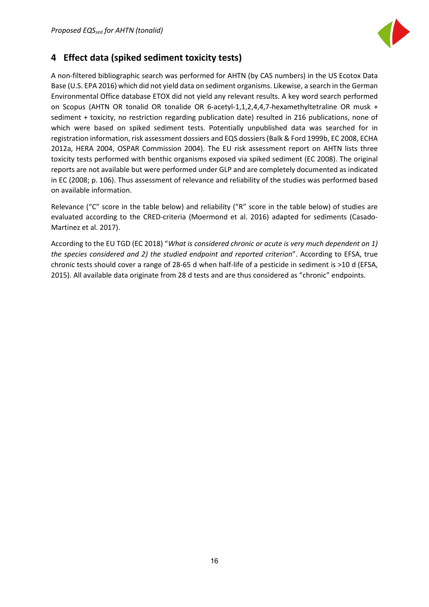

# <span id="page-16-0"></span>**4 Effect data (spiked sediment toxicity tests)**

A non-filtered bibliographic search was performed for AHTN (by CAS numbers) in the US Ecotox Data Base (U.S. EPA 2016) which did not yield data on sediment organisms. Likewise, a search in the German Environmental Office database ETOX did not yield any relevant results. A key word search performed on Scopus (AHTN OR tonalid OR tonalide OR 6-acetyl-1,1,2,4,4,7-hexamethyltetraline OR musk + sediment + toxicity, no restriction regarding publication date) resulted in 216 publications, none of which were based on spiked sediment tests. Potentially unpublished data was searched for in registration information, risk assessment dossiers and EQS dossiers(Balk & Ford 1999b, EC 2008, ECHA 2012a, HERA 2004, OSPAR Commission 2004). The EU risk assessment report on AHTN lists three toxicity tests performed with benthic organisms exposed via spiked sediment (EC 2008). The original reports are not available but were performed under GLP and are completely documented as indicated in EC (2008; p. 106). Thus assessment of relevance and reliability of the studies was performed based on available information.

Relevance ("C" score in the table below) and reliability ("R" score in the table below) of studies are evaluated according to the CRED-criteria (Moermond et al. 2016) adapted for sediments (Casado-Martinez et al. 2017).

According to the EU TGD (EC 2018) "*What is considered chronic or acute is very much dependent on 1) the species considered and 2) the studied endpoint and reported criterion*". According to EFSA, true chronic tests should cover a range of 28-65 d when half-life of a pesticide in sediment is >10 d (EFSA, 2015). All available data originate from 28 d tests and are thus considered as "chronic" endpoints.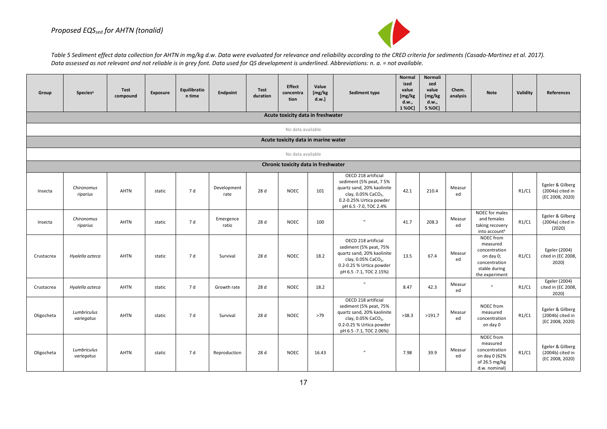

Table 5 Sediment effect data collection for AHTN in mg/kg d.w. Data were evaluated for relevance and reliability according to the CRED criteria for sediments (Casado-Martinez et al. 2017). *Data assessed as not relevant and not reliable is in grey font. Data used for QS development is underlined. Abbreviations: n. a. = not available.* 

| Group      | <b>Species<sup>a</sup></b> | Test<br>compound | <b>Exposure</b> | Equilibratio<br>n time | Endpoint            | <b>Test</b><br>duration | Effect<br>concentra<br>tion         | Value<br>[mg/kg]<br>d.w. | Sediment type                                                                                                                                                          | <b>Normal</b><br>ized<br>value<br>[mg/kg]<br>d.w.,<br>1 % OC] | Normali<br>zed<br>value<br>[mg/kg]<br>d.w.,<br>5 % OC] | Chem.<br>analysis | <b>Note</b>                                                                                             | Validity | <b>References</b>                                       |
|------------|----------------------------|------------------|-----------------|------------------------|---------------------|-------------------------|-------------------------------------|--------------------------|------------------------------------------------------------------------------------------------------------------------------------------------------------------------|---------------------------------------------------------------|--------------------------------------------------------|-------------------|---------------------------------------------------------------------------------------------------------|----------|---------------------------------------------------------|
|            |                            |                  |                 |                        |                     |                         | Acute toxicity data in freshwater   |                          |                                                                                                                                                                        |                                                               |                                                        |                   |                                                                                                         |          |                                                         |
|            |                            |                  |                 |                        |                     |                         | No data available                   |                          |                                                                                                                                                                        |                                                               |                                                        |                   |                                                                                                         |          |                                                         |
|            |                            |                  |                 |                        |                     |                         | Acute toxicity data in marine water |                          |                                                                                                                                                                        |                                                               |                                                        |                   |                                                                                                         |          |                                                         |
|            |                            |                  |                 |                        |                     |                         | No data available                   |                          |                                                                                                                                                                        |                                                               |                                                        |                   |                                                                                                         |          |                                                         |
|            |                            |                  |                 |                        |                     |                         | Chronic toxicity data in freshwater |                          |                                                                                                                                                                        |                                                               |                                                        |                   |                                                                                                         |          |                                                         |
| Insecta    | Chironomus<br>riparius     | <b>AHTN</b>      | static          | 7 d                    | Development<br>rate | 28 d                    | <b>NOEC</b>                         | 101                      | OECD 218 artificial<br>sediment (5% peat, 75%<br>quartz sand, 20% kaolinite<br>clay, 0.05% CaCO <sub>3</sub> ,<br>0.2-0.25% Urtica powder<br>pH 6.5 - 7.0, TOC 2.4%    | 42.1                                                          | 210.4                                                  | Measur<br>ed      |                                                                                                         | R1/C1    | Egeler & Gilberg<br>(2004a) cited in<br>(EC 2008, 2020) |
| Insecta    | Chironomus<br>riparius     | AHTN             | static          | 7 d                    | Emergence<br>ratio  | 28 d                    | <b>NOEC</b>                         | 100                      | $\overline{v}$                                                                                                                                                         | 41.7                                                          | 208.3                                                  | Measur<br>ed      | NOEC for males<br>and females<br>taking recovery<br>into account <sup>a</sup>                           | R1/C1    | Egeler & Gilberg<br>(2004a) cited in<br>(2020)          |
| Crustacrea | Hyalella azteca            | <b>AHTN</b>      | static          | 7 d                    | Survival            | 28 d                    | <b>NOEC</b>                         | 18.2                     | OECD 218 artificial<br>sediment (5% peat, 75%<br>quartz sand, 20% kaolinite<br>clay, 0.05% CaCO <sub>3</sub> ,<br>0.2-0.25 % Urtica powder<br>pH 6.5 - 7.1, TOC 2.15%) | 13.5                                                          | 67.4                                                   | Measur<br>ed      | NOEC from<br>measured<br>concentration<br>on day 0;<br>concentration<br>stable during<br>the experiment | R1/C1    | Egeler (2004)<br>cited in (EC 2008,<br>2020)            |
| Crustacrea | Hyalella azteca            | <b>AHTN</b>      | static          | 7 d                    | Growth rate         | 28 d                    | <b>NOEC</b>                         | 18.2                     | $\mathbf{u}$                                                                                                                                                           | 8.47                                                          | 42.3                                                   | Measur<br>ed      | $\mathbf{u}$                                                                                            | R1/C1    | Egeler (2004)<br>cited in (EC 2008,<br>2020)            |
| Oligocheta | Lumbriculus<br>variegatus  | <b>AHTN</b>      | static          | 7 d                    | Survival            | 28 d                    | <b>NOEC</b>                         | >79                      | OECD 218 artificial<br>sediment (5% peat, 75%<br>quartz sand, 20% kaolinite<br>clay, 0.05% CaCO <sub>3</sub> ,<br>0.2-0.25 % Urtica powder<br>pH 6.5 - 7.1, TOC 2.06%) | >38.3                                                         | >191.7                                                 | Measur<br>ed      | NOEC from<br>measured<br>concentration<br>on day 0                                                      | R1/C1    | Egeler & Gilberg<br>(2004b) cited in<br>(EC 2008, 2020) |
| Oligocheta | Lumbriculus<br>variegatus  | AHTN             | static          | 7 d                    | Reproduction        | 28 d                    | <b>NOEC</b>                         | 16.43                    | $\mathbf{u}$                                                                                                                                                           | 7.98                                                          | 39.9                                                   | Measur<br>ed      | NOEC from<br>measured<br>concentration<br>on day 0 (62%<br>of 26.5 mg/kg<br>d.w. nominal)               | R1/C1    | Egeler & Gilberg<br>(2004b) cited in<br>(EC 2008, 2020) |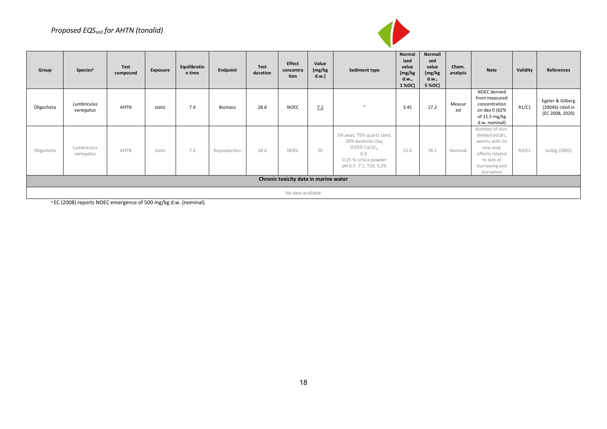#### *Proposed EQSsed for AHTN (tonalid)*



| Group      | <b>Species<sup>a</sup></b>            | <b>Test</b><br>compound | Exposure | Equilibratio<br>n time | Endpoint       | <b>Test</b><br>duration | <b>Effect</b><br>concentra<br>tion | Value<br>[mg/kg]<br>d.w.] | Sediment type                                                                                                                                | Normal<br>ized<br>value<br>[mg/kg<br>d.w.,<br>1 % OC | Normali<br>zed<br>value<br>[mg/kg<br>d.w.,<br>5 % OC] | Chem.<br>analysis | <b>Note</b>                                                                                                                    | Validity | References                                              |
|------------|---------------------------------------|-------------------------|----------|------------------------|----------------|-------------------------|------------------------------------|---------------------------|----------------------------------------------------------------------------------------------------------------------------------------------|------------------------------------------------------|-------------------------------------------------------|-------------------|--------------------------------------------------------------------------------------------------------------------------------|----------|---------------------------------------------------------|
| Oligocheta | Lumbriculus<br>variegatus             | AHTN                    | static   | 7 d                    | <b>Biomass</b> | 28 d                    | <b>NOEC</b>                        | 7.1                       | $\boldsymbol{u}$                                                                                                                             | 3.45                                                 | 17.2                                                  | Measur<br>ed      | NOEC derived<br>from measured<br>concentration<br>on day 0 (62%<br>of 11.5 mg/kg<br>d.w. nominal)                              | R1/C1    | Egeler & Gilberg<br>(2004b) cited in<br>(EC 2008, 2020) |
| Oligocheta | Lumbriculus<br>variegatus             | <b>AHTN</b>             | static   | 7 d                    | Reproduction   | 28 d                    | <b>NOEC</b>                        | 50                        | 5% peat, 75% quartz sand,<br>20% kaolinite clay,<br>$0.05\%$ CaCO <sub>3</sub> ,<br>$0.2 -$<br>0.25 % Urtica powder<br>pH 6.5 -7.1, TOC 3.2% | 15.6                                                 | 78.1                                                  | Nominal           | Number of non-<br>divided adults,<br>worms with no<br>new end;<br>effects related<br>to lack of<br>burrowing and<br>starvation | R3/C1    | Liebig (2005)                                           |
|            | Chronic toxicity data in marine water |                         |          |                        |                |                         |                                    |                           |                                                                                                                                              |                                                      |                                                       |                   |                                                                                                                                |          |                                                         |
|            |                                       |                         |          |                        |                |                         | No data available                  |                           |                                                                                                                                              |                                                      |                                                       |                   |                                                                                                                                |          |                                                         |

<sup>a</sup> EC (2008) reports NOEC emergence of 500 mg/kg d.w. (nominal).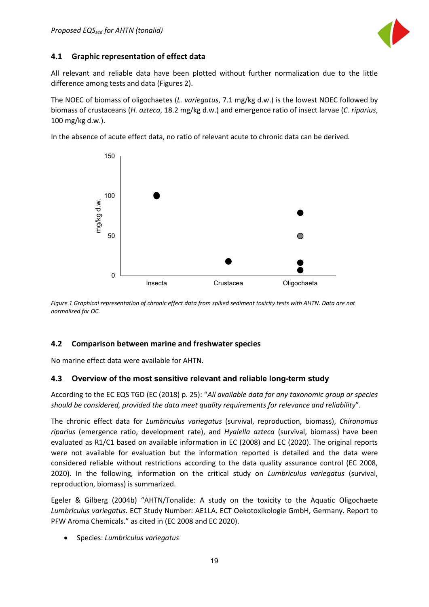

#### <span id="page-19-0"></span>**4.1 Graphic representation of effect data**

All relevant and reliable data have been plotted without further normalization due to the little difference among tests and data (Figures 2).

The NOEC of biomass of oligochaetes (*L. variegatus*, 7.1 mg/kg d.w.) is the lowest NOEC followed by biomass of crustaceans (*H. azteca*, 18.2 mg/kg d.w.) and emergence ratio of insect larvae (*C. riparius*, 100 mg/kg d.w.).

In the absence of acute effect data, no ratio of relevant acute to chronic data can be derived*.*



*Figure 1 Graphical representation of chronic effect data from spiked sediment toxicity tests with AHTN. Data are not normalized for OC.*

#### <span id="page-19-1"></span>**4.2 Comparison between marine and freshwater species**

No marine effect data were available for AHTN.

#### <span id="page-19-2"></span>**4.3 Overview of the most sensitive relevant and reliable long-term study**

According to the EC EQS TGD (EC (2018) p. 25): "*All available data for any taxonomic group or species should be considered, provided the data meet quality requirements for relevance and reliability*".

The chronic effect data for *Lumbriculus variegatus* (survival, reproduction, biomass), *Chironomus riparius* (emergence ratio, development rate), and *Hyalella azteca* (survival, biomass) have been evaluated as R1/C1 based on available information in EC (2008) and EC (2020). The original reports were not available for evaluation but the information reported is detailed and the data were considered reliable without restrictions according to the data quality assurance control (EC 2008, 2020). In the following, information on the critical study on *Lumbriculus variegatus* (survival, reproduction, biomass) is summarized.

Egeler & Gilberg (2004b) "AHTN/Tonalide: A study on the toxicity to the Aquatic Oligochaete *Lumbriculus variegatus*. ECT Study Number: AE1LA. ECT Oekotoxikologie GmbH, Germany. Report to PFW Aroma Chemicals." as cited in (EC 2008 and EC 2020).

• Species: *Lumbriculus variegatus*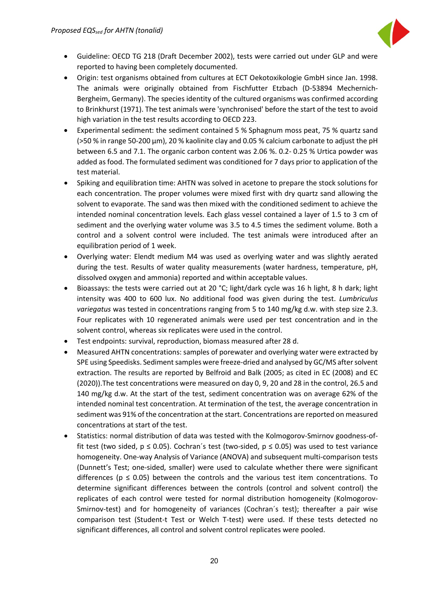

- Guideline: OECD TG 218 (Draft December 2002), tests were carried out under GLP and were reported to having been completely documented.
- Origin: test organisms obtained from cultures at ECT Oekotoxikologie GmbH since Jan. 1998. The animals were originally obtained from Fischfutter Etzbach (D-53894 Mechernich-Bergheim, Germany). The species identity of the cultured organisms was confirmed according to Brinkhurst (1971). The test animals were 'synchronised' before the start of the test to avoid high variation in the test results according to OECD 223.
- Experimental sediment: the sediment contained 5 % Sphagnum moss peat, 75 % quartz sand (>50 % in range 50-200 μm), 20 % kaolinite clay and 0.05 % calcium carbonate to adjust the pH between 6.5 and 7.1. The organic carbon content was 2.06 %. 0.2- 0.25 % Urtica powder was added as food. The formulated sediment was conditioned for 7 days prior to application of the test material.
- Spiking and equilibration time: AHTN was solved in acetone to prepare the stock solutions for each concentration. The proper volumes were mixed first with dry quartz sand allowing the solvent to evaporate. The sand was then mixed with the conditioned sediment to achieve the intended nominal concentration levels. Each glass vessel contained a layer of 1.5 to 3 cm of sediment and the overlying water volume was 3.5 to 4.5 times the sediment volume. Both a control and a solvent control were included. The test animals were introduced after an equilibration period of 1 week.
- Overlying water: Elendt medium M4 was used as overlying water and was slightly aerated during the test. Results of water quality measurements (water hardness, temperature, pH, dissolved oxygen and ammonia) reported and within acceptable values.
- Bioassays: the tests were carried out at 20 °C; light/dark cycle was 16 h light, 8 h dark; light intensity was 400 to 600 lux. No additional food was given during the test. *Lumbriculus variegatus* was tested in concentrations ranging from 5 to 140 mg/kg d.w. with step size 2.3. Four replicates with 10 regenerated animals were used per test concentration and in the solvent control, whereas six replicates were used in the control.
- Test endpoints: survival, reproduction, biomass measured after 28 d.
- Measured AHTN concentrations: samples of porewater and overlying water were extracted by SPE using Speedisks. Sediment samples were freeze-dried and analysed by GC/MS after solvent extraction. The results are reported by Belfroid and Balk (2005; as cited in EC (2008) and EC (2020)).The test concentrations were measured on day 0, 9, 20 and 28 in the control, 26.5 and 140 mg/kg d.w. At the start of the test, sediment concentration was on average 62% of the intended nominal test concentration. At termination of the test, the average concentration in sediment was 91% of the concentration at the start. Concentrations are reported on measured concentrations at start of the test.
- Statistics: normal distribution of data was tested with the Kolmogorov-Smirnov goodness-offit test (two sided,  $p \le 0.05$ ). Cochran's test (two-sided,  $p \le 0.05$ ) was used to test variance homogeneity. One-way Analysis of Variance (ANOVA) and subsequent multi-comparison tests (Dunnett's Test; one-sided, smaller) were used to calculate whether there were significant differences ( $p \le 0.05$ ) between the controls and the various test item concentrations. To determine significant differences between the controls (control and solvent control) the replicates of each control were tested for normal distribution homogeneity (Kolmogorov-Smirnov-test) and for homogeneity of variances (Cochran´s test); thereafter a pair wise comparison test (Student-t Test or Welch T-test) were used. If these tests detected no significant differences, all control and solvent control replicates were pooled.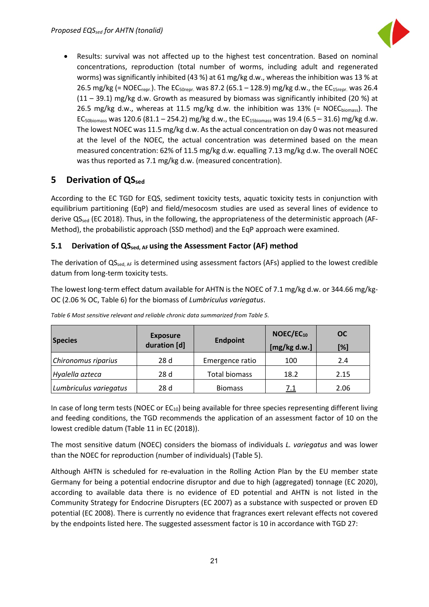

• Results: survival was not affected up to the highest test concentration. Based on nominal concentrations, reproduction (total number of worms, including adult and regenerated worms) was significantly inhibited (43 %) at 61 mg/kg d.w., whereas the inhibition was 13 % at 26.5 mg/kg (= NOEC<sub>repr.</sub>). The EC<sub>50repr</sub>. was 87.2 (65.1 – 128.9) mg/kg d.w., the EC<sub>15repr</sub>. was 26.4 (11 – 39.1) mg/kg d.w. Growth as measured by biomass was significantly inhibited (20 %) at 26.5 mg/kg d.w., whereas at 11.5 mg/kg d.w. the inhibition was 13% (= NOECbiomass). The EC<sub>50biomass</sub> was 120.6 (81.1 – 254.2) mg/kg d.w., the EC<sub>15biomass</sub> was 19.4 (6.5 – 31.6) mg/kg d.w. The lowest NOEC was 11.5 mg/kg d.w. As the actual concentration on day 0 was not measured at the level of the NOEC, the actual concentration was determined based on the mean measured concentration: 62% of 11.5 mg/kg d.w. equalling 7.13 mg/kg d.w. The overall NOEC was thus reported as 7.1 mg/kg d.w. (measured concentration).

## <span id="page-21-0"></span>**5 Derivation of OSsed**

According to the EC TGD for EQS, sediment toxicity tests, aquatic toxicity tests in conjunction with equilibrium partitioning (EqP) and field/mesocosm studies are used as several lines of evidence to derive QS<sub>sed</sub> (EC 2018). Thus, in the following, the appropriateness of the deterministic approach (AF-Method), the probabilistic approach (SSD method) and the EqP approach were examined.

#### <span id="page-21-1"></span>**5.1 Derivation of QSsed, AF using the Assessment Factor (AF) method**

The derivation of  $QS_{sed, AF}$  is determined using assessment factors (AFs) applied to the lowest credible datum from long-term toxicity tests.

The lowest long-term effect datum available for AHTN is the NOEC of 7.1 mg/kg d.w. or 344.66 mg/kg-OC (2.06 % OC, Table 6) for the biomass of *Lumbriculus variegatus*.

| <b>Species</b>         | <b>Exposure</b><br><b>Endpoint</b><br>duration [d] |                      | NOEC/EC <sub>10</sub><br>[mg/kg d.w.] | <b>OC</b><br>[%] |
|------------------------|----------------------------------------------------|----------------------|---------------------------------------|------------------|
| Chironomus riparius    | 28d                                                | Emergence ratio      | 100                                   | 2.4              |
| Hyalella azteca        | 28d                                                | <b>Total biomass</b> | 18.2                                  | 2.15             |
| Lumbriculus variegatus | 28 d                                               | <b>Biomass</b>       | 7.1                                   | 2.06             |

*Table 6 Most sensitive relevant and reliable chronic data summarized from Table 5.*

In case of long term tests (NOEC or  $EC_{10}$ ) being available for three species representing different living and feeding conditions, the TGD recommends the application of an assessment factor of 10 on the lowest credible datum (Table 11 in EC (2018)).

The most sensitive datum (NOEC) considers the biomass of individuals *L. variegatus* and was lower than the NOEC for reproduction (number of individuals) (Table 5).

Although AHTN is scheduled for re-evaluation in the Rolling Action Plan by the EU member state Germany for being a potential endocrine disruptor and due to high (aggregated) tonnage (EC 2020), according to available data there is no evidence of ED potential and AHTN is not listed in the Community Strategy for Endocrine Disrupters (EC 2007) as a substance with suspected or proven ED potential (EC 2008). There is currently no evidence that fragrances exert relevant effects not covered by the endpoints listed here. The suggested assessment factor is 10 in accordance with TGD 27: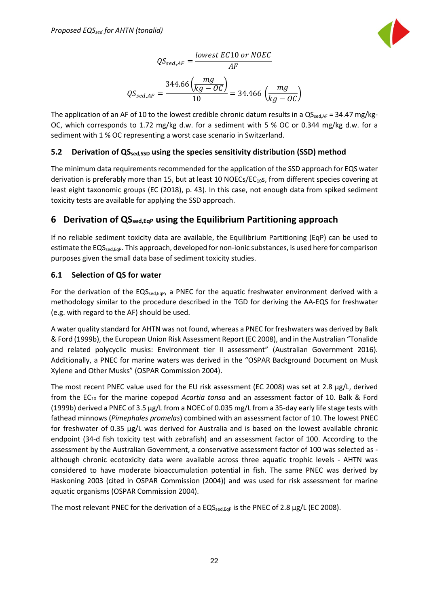

$$
QS_{sed,AF} = \frac{lowest \ EC10 \ or \ NOEC}{AF}
$$

$$
QS_{sed,AF} = \frac{344.66 \left(\frac{mg}{kg - OC}\right)}{10} = 34.466 \left(\frac{mg}{kg - OC}\right)
$$

The application of an AF of 10 to the lowest credible chronic datum results in a  $QS_{\text{sedAF}} = 34.47 \text{ mg/kg}$ -OC, which corresponds to 1.72 mg/kg d.w. for a sediment with 5 % OC or 0.344 mg/kg d.w. for a sediment with 1 % OC representing a worst case scenario in Switzerland.

#### <span id="page-22-0"></span>**5.2 Derivation of QSsed,SSD using the species sensitivity distribution (SSD) method**

The minimum data requirements recommended for the application of the SSD approach for EQS water derivation is preferably more than 15, but at least 10 NOECs/ $EC_{10}$ s, from different species covering at least eight taxonomic groups (EC (2018), p. 43). In this case, not enough data from spiked sediment toxicity tests are available for applying the SSD approach.

## <span id="page-22-1"></span>**6 Derivation of QSsed,EqP using the Equilibrium Partitioning approach**

If no reliable sediment toxicity data are available, the Equilibrium Partitioning (EqP) can be used to estimate the EQS<sub>sed,Eq</sub>p. This approach, developed for non-ionic substances, is used here for comparison purposes given the small data base of sediment toxicity studies.

#### <span id="page-22-2"></span>**6.1 Selection of QS for water**

For the derivation of the  $EQS_{\text{sed,EqP}}$ , a PNEC for the aquatic freshwater environment derived with a methodology similar to the procedure described in the TGD for deriving the AA-EQS for freshwater (e.g. with regard to the AF) should be used.

A water quality standard for AHTN was not found, whereas a PNEC for freshwaters was derived by Balk & Ford (1999b), the European Union Risk Assessment Report (EC 2008), and in the Australian "Tonalide and related polycyclic musks: Environment tier II assessment" (Australian Government 2016). Additionally, a PNEC for marine waters was derived in the "OSPAR Background Document on Musk Xylene and Other Musks" (OSPAR Commission 2004).

The most recent PNEC value used for the EU risk assessment (EC 2008) was set at 2.8 µg/L, derived from the EC10 for the marine copepod *Acartia tonsa* and an assessment factor of 10. Balk & Ford (1999b) derived a PNEC of 3.5 µg/L from a NOEC of 0.035 mg/L from a 35-day early life stage tests with fathead minnows (*Pimephales promelas*) combined with an assessment factor of 10. The lowest PNEC for freshwater of 0.35 µg/L was derived for Australia and is based on the lowest available chronic endpoint (34-d fish toxicity test with zebrafish) and an assessment factor of 100. According to the assessment by the Australian Government, a conservative assessment factor of 100 was selected as although chronic ecotoxicity data were available across three aquatic trophic levels - AHTN was considered to have moderate bioaccumulation potential in fish. The same PNEC was derived by Haskoning 2003 (cited in OSPAR Commission (2004)) and was used for risk assessment for marine aquatic organisms (OSPAR Commission 2004).

The most relevant PNEC for the derivation of a  $EQS_{\text{sed,EqP}}$  is the PNEC of 2.8  $\mu$ g/L (EC 2008).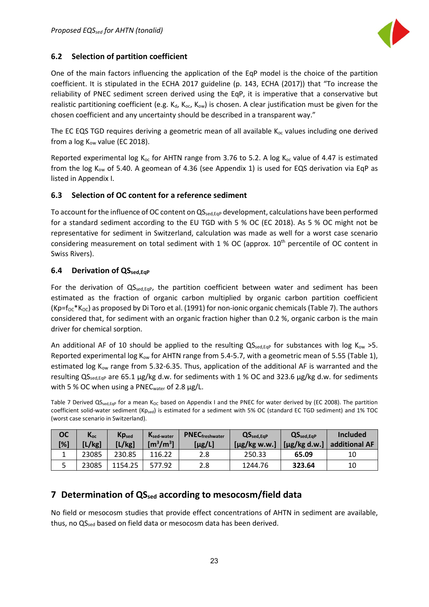

#### <span id="page-23-0"></span>**6.2 Selection of partition coefficient**

One of the main factors influencing the application of the EqP model is the choice of the partition coefficient. It is stipulated in the ECHA 2017 guideline (p. 143, ECHA (2017)) that "To increase the reliability of PNEC sediment screen derived using the EqP, it is imperative that a conservative but realistic partitioning coefficient (e.g. K<sub>d</sub>, K<sub>oc</sub>, K<sub>ow</sub>) is chosen. A clear justification must be given for the chosen coefficient and any uncertainty should be described in a transparent way."

The EC EQS TGD requires deriving a geometric mean of all available  $K_{oc}$  values including one derived from a  $log K_{ow}$  value (EC 2018).

Reported experimental log  $K_{oc}$  for AHTN range from 3.76 to 5.2. A log  $K_{oc}$  value of 4.47 is estimated from the log K<sub>ow</sub> of 5.40. A geomean of 4.36 (see Appendix 1) is used for EQS derivation via EqP as listed in Appendix I.

#### <span id="page-23-1"></span>**6.3 Selection of OC content for a reference sediment**

To account for the influence of OC content on QS<sub>sed,EqP</sub> development, calculations have been performed for a standard sediment according to the EU TGD with 5 % OC (EC 2018). As 5 % OC might not be representative for sediment in Switzerland, calculation was made as well for a worst case scenario considering measurement on total sediment with  $1\%$  OC (approx.  $10<sup>th</sup>$  percentile of OC content in Swiss Rivers).

#### <span id="page-23-2"></span>**6.4 Derivation of QS**sed, Eqp

For the derivation of QS<sub>sed,EqP</sub>, the partition coefficient between water and sediment has been estimated as the fraction of organic carbon multiplied by organic carbon partition coefficient  $(Kp=f<sub>OC</sub>*K<sub>OC</sub>)$  as proposed by Di Toro et al. (1991) for non-ionic organic chemicals (Table 7). The authors considered that, for sediment with an organic fraction higher than 0.2 %, organic carbon is the main driver for chemical sorption.

An additional AF of 10 should be applied to the resulting  $QS_{\text{sed,Eq}}$  for substances with log K<sub>ow</sub> >5. Reported experimental log  $K_{ow}$  for AHTN range from 5.4-5.7, with a geometric mean of 5.55 (Table 1), estimated log K<sub>ow</sub> range from 5.32-6.35. Thus, application of the additional AF is warranted and the resulting  $QS_{\text{sed,Eq}}$  are 65.1 µg/kg d.w. for sediments with 1 % OC and 323.6 µg/kg d.w. for sediments with 5 % OC when using a PNEC<sub>water</sub> of 2.8  $\mu$ g/L.

Table 7 Derived QS<sub>sed,Eqp</sub> for a mean K<sub>OC</sub> based on Appendix I and the PNEC for water derived by (EC 2008). The partition coefficient solid-water sediment (Kp<sub>sed</sub>) is estimated for a sediment with 5% OC (standard EC TGD sediment) and 1% TOC (worst case scenario in Switzerland).

| <b>OC</b><br>[%] | Koc<br>'L/kg] | $Kp_{sed}$<br>[L/kg] | Ksed-water<br>[m $^3$ /m $^3$ ] | <b>PNEC</b> freshwater<br>$[\mu$ g/L] | $QS_{sed,EqP}$<br>$[\mu$ g/kg w.w.] | QS <sub>sed,EqP</sub><br>$[\mu g/kg$ d.w.] | <b>Included</b><br>additional AF |
|------------------|---------------|----------------------|---------------------------------|---------------------------------------|-------------------------------------|--------------------------------------------|----------------------------------|
|                  | 23085         | 230.85               | 116.22                          | 2.8                                   | 250.33                              | 65.09                                      | 10                               |
|                  | 23085         | 1154.25              | 577.92                          | 2.8                                   | 1244.76                             | 323.64                                     | 10                               |

#### <span id="page-23-3"></span>**7 Determination of QSsed according to mesocosm/field data**

No field or mesocosm studies that provide effect concentrations of AHTN in sediment are available, thus, no QS<sub>sed</sub> based on field data or mesocosm data has been derived.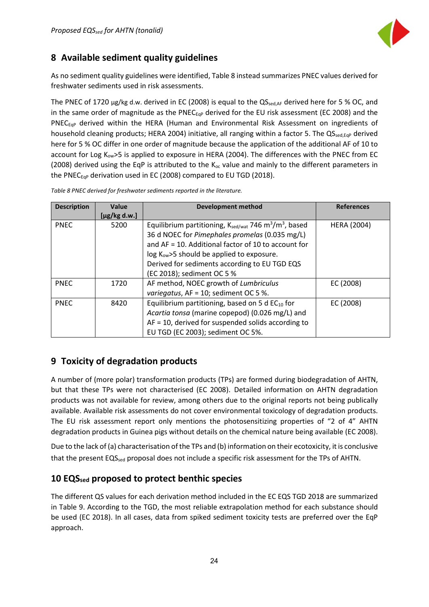

## <span id="page-24-0"></span>**8 Available sediment quality guidelines**

As no sediment quality guidelines were identified, Table 8 instead summarizes PNEC values derived for freshwater sediments used in risk assessments.

The PNEC of 1720 µg/kg d.w. derived in EC (2008) is equal to the QS<sub>sed,AF</sub> derived here for 5 % OC, and in the same order of magnitude as the PNEC $_{EGP}$  derived for the EU risk assessment (EC 2008) and the PNEC $_{EGP}$  derived within the HERA (Human and Environmental Risk Assessment on ingredients of household cleaning products; HERA 2004) initiative, all ranging within a factor 5. The QS<sub>sed,Eqp</sub> derived here for 5 % OC differ in one order of magnitude because the application of the additional AF of 10 to account for Log K<sub>ow</sub>>5 is applied to exposure in HERA (2004). The differences with the PNEC from EC (2008) derived using the EqP is attributed to the  $K_{oc}$  value and mainly to the different parameters in the PNEC $_{EqP}$  derivation used in EC (2008) compared to EU TGD (2018).

| <b>Description</b> | Value             | <b>Development method</b>                                                                 | <b>References</b>  |
|--------------------|-------------------|-------------------------------------------------------------------------------------------|--------------------|
|                    | $[\mu$ g/kg d.w.] |                                                                                           |                    |
| <b>PNEC</b>        | 5200              | Equilibrium partitioning, $K_{\text{sed/wat}}$ 746 m <sup>3</sup> /m <sup>3</sup> , based | <b>HERA (2004)</b> |
|                    |                   | 36 d NOEC for Pimephales promelas (0.035 mg/L)                                            |                    |
|                    |                   | and AF = 10. Additional factor of 10 to account for                                       |                    |
|                    |                   | $log Kow$ >5 should be applied to exposure.                                               |                    |
|                    |                   | Derived for sediments according to EU TGD EQS                                             |                    |
|                    |                   | (EC 2018); sediment OC 5 %                                                                |                    |
| <b>PNEC</b>        | 1720              | AF method, NOEC growth of Lumbriculus                                                     | EC (2008)          |
|                    |                   | variegatus, AF = 10; sediment OC 5 %.                                                     |                    |
| <b>PNEC</b>        | 8420              | Equilibrium partitioning, based on 5 d $EC_{10}$ for                                      | EC (2008)          |
|                    |                   | Acartia tonsa (marine copepod) (0.026 mg/L) and                                           |                    |
|                    |                   | $AF = 10$ , derived for suspended solids according to                                     |                    |
|                    |                   | EU TGD (EC 2003); sediment OC 5%.                                                         |                    |

*Table 8 PNEC derived for freshwater sediments reported in the literature.*

# <span id="page-24-1"></span>**9 Toxicity of degradation products**

A number of (more polar) transformation products (TPs) are formed during biodegradation of AHTN, but that these TPs were not characterised (EC 2008). Detailed information on AHTN degradation products was not available for review, among others due to the original reports not being publically available. Available risk assessments do not cover environmental toxicology of degradation products. The EU risk assessment report only mentions the photosensitizing properties of "2 of 4" AHTN degradation products in Guinea pigs without details on the chemical nature being available (EC 2008).

Due to the lack of (a) characterisation of the TPs and (b) information on their ecotoxicity, it is conclusive that the present EQS<sub>sed</sub> proposal does not include a specific risk assessment for the TPs of AHTN.

#### <span id="page-24-2"></span>**10 EQSsed proposed to protect benthic species**

The different QS values for each derivation method included in the EC EQS TGD 2018 are summarized in Table 9. According to the TGD, the most reliable extrapolation method for each substance should be used (EC 2018). In all cases, data from spiked sediment toxicity tests are preferred over the EqP approach.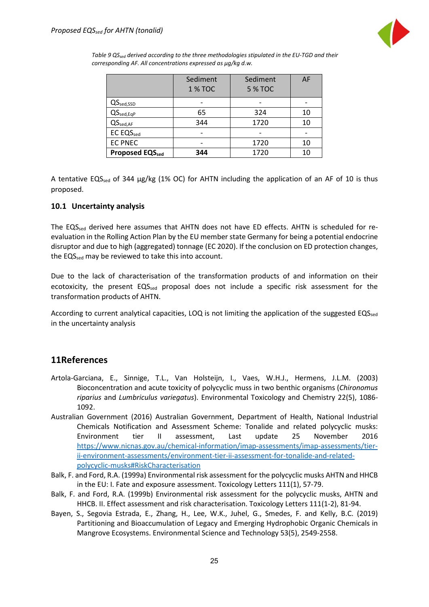

*Table 9 QSsed derived according to the three methodologies stipulated in the EU-TGD and their corresponding AF. All concentrations expressed as µg/kg d.w.*

|                              | Sediment       | Sediment       | AF |
|------------------------------|----------------|----------------|----|
|                              | <b>1 % TOC</b> | <b>5 % TOC</b> |    |
| $QS_{\text{sed,SSD}}$        |                |                |    |
| $QS_{\text{sed},\text{EqP}}$ | 65             | 324            | 10 |
| QS <sub>sed, AF</sub>        | 344            | 1720           | 10 |
| <b>EC EQSsed</b>             |                |                |    |
| <b>EC PNEC</b>               |                | 1720           | 10 |
| <b>Proposed EQSsed</b>       | 344            | 1720           | 10 |

A tentative EQS<sub>sed</sub> of 344  $\mu$ g/kg (1% OC) for AHTN including the application of an AF of 10 is thus proposed.

#### <span id="page-25-0"></span>**10.1 Uncertainty analysis**

The EQS<sub>sed</sub> derived here assumes that AHTN does not have ED effects. AHTN is scheduled for reevaluation in the Rolling Action Plan by the EU member state Germany for being a potential endocrine disruptor and due to high (aggregated) tonnage (EC 2020). If the conclusion on ED protection changes, the EQS<sub>sed</sub> may be reviewed to take this into account.

Due to the lack of characterisation of the transformation products of and information on their ecotoxicity, the present  $EQ_{\text{Sed}}$  proposal does not include a specific risk assessment for the transformation products of AHTN.

According to current analytical capacities, LOQ is not limiting the application of the suggested EQS<sub>sed</sub> in the uncertainty analysis

#### <span id="page-25-1"></span>**11References**

- Artola-Garciana, E., Sinnige, T.L., Van Holsteijn, I., Vaes, W.H.J., Hermens, J.L.M. (2003) Bioconcentration and acute toxicity of polycyclic muss in two benthic organisms (*Chironomus riparius* and *Lumbriculus variegatus*). Environmental Toxicology and Chemistry 22(5), 1086- 1092.
- Australian Government (2016) Australian Government, Department of Health, National Industrial Chemicals Notification and Assessment Scheme: Tonalide and related polycyclic musks: Environment tier II assessment, Last update 25 November 2016 [https://www.nicnas.gov.au/chemical-information/imap-assessments/imap-assessments/tier](https://www.nicnas.gov.au/chemical-information/imap-assessments/imap-assessments/tier-ii-environment-assessments/environment-tier-ii-assessment-for-tonalide-and-related-polycyclic-musks#RiskCharacterisation)[ii-environment-assessments/environment-tier-ii-assessment-for-tonalide-and-related](https://www.nicnas.gov.au/chemical-information/imap-assessments/imap-assessments/tier-ii-environment-assessments/environment-tier-ii-assessment-for-tonalide-and-related-polycyclic-musks#RiskCharacterisation)[polycyclic-musks#RiskCharacterisation](https://www.nicnas.gov.au/chemical-information/imap-assessments/imap-assessments/tier-ii-environment-assessments/environment-tier-ii-assessment-for-tonalide-and-related-polycyclic-musks#RiskCharacterisation)
- Balk, F. and Ford, R.A. (1999a) Environmental risk assessment for the polycyclic musks AHTN and HHCB in the EU: I. Fate and exposure assessment. Toxicology Letters 111(1), 57-79.
- Balk, F. and Ford, R.A. (1999b) Environmental risk assessment for the polycyclic musks, AHTN and HHCB. II. Effect assessment and risk characterisation. Toxicology Letters 111(1-2), 81-94.
- Bayen, S., Segovia Estrada, E., Zhang, H., Lee, W.K., Juhel, G., Smedes, F. and Kelly, B.C. (2019) Partitioning and Bioaccumulation of Legacy and Emerging Hydrophobic Organic Chemicals in Mangrove Ecosystems. Environmental Science and Technology 53(5), 2549-2558.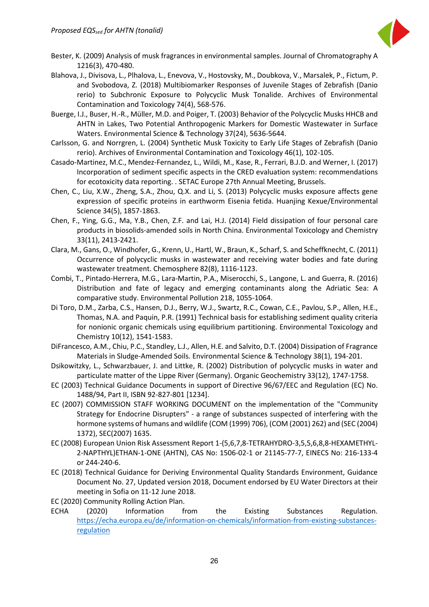

- Bester, K. (2009) Analysis of musk fragrances in environmental samples. Journal of Chromatography A 1216(3), 470-480.
- Blahova, J., Divisova, L., Plhalova, L., Enevova, V., Hostovsky, M., Doubkova, V., Marsalek, P., Fictum, P. and Svobodova, Z. (2018) Multibiomarker Responses of Juvenile Stages of Zebrafish (Danio rerio) to Subchronic Exposure to Polycyclic Musk Tonalide. Archives of Environmental Contamination and Toxicology 74(4), 568-576.
- Buerge, I.J., Buser, H.-R., Müller, M.D. and Poiger, T. (2003) Behavior of the Polycyclic Musks HHCB and AHTN in Lakes, Two Potential Anthropogenic Markers for Domestic Wastewater in Surface Waters. Environmental Science & Technology 37(24), 5636-5644.
- Carlsson, G. and Norrgren, L. (2004) Synthetic Musk Toxicity to Early Life Stages of Zebrafish (Danio rerio). Archives of Environmental Contamination and Toxicology 46(1), 102-105.
- Casado-Martinez, M.C., Mendez-Fernandez, L., Wildi, M., Kase, R., Ferrari, B.J.D. and Werner, I. (2017) Incorporation of sediment specific aspects in the CRED evaluation system: recommendations for ecotoxicity data reporting. . SETAC Europe 27th Annual Meeting, Brussels.
- Chen, C., Liu, X.W., Zheng, S.A., Zhou, Q.X. and Li, S. (2013) Polycyclic musks exposure affects gene expression of specific proteins in earthworm Eisenia fetida. Huanjing Kexue/Environmental Science 34(5), 1857-1863.
- Chen, F., Ying, G.G., Ma, Y.B., Chen, Z.F. and Lai, H.J. (2014) Field dissipation of four personal care products in biosolids-amended soils in North China. Environmental Toxicology and Chemistry 33(11), 2413-2421.
- Clara, M., Gans, O., Windhofer, G., Krenn, U., Hartl, W., Braun, K., Scharf, S. and Scheffknecht, C. (2011) Occurrence of polycyclic musks in wastewater and receiving water bodies and fate during wastewater treatment. Chemosphere 82(8), 1116-1123.
- Combi, T., Pintado-Herrera, M.G., Lara-Martin, P.A., Miserocchi, S., Langone, L. and Guerra, R. (2016) Distribution and fate of legacy and emerging contaminants along the Adriatic Sea: A comparative study. Environmental Pollution 218, 1055-1064.
- Di Toro, D.M., Zarba, C.S., Hansen, D.J., Berry, W.J., Swartz, R.C., Cowan, C.E., Pavlou, S.P., Allen, H.E., Thomas, N.A. and Paquin, P.R. (1991) Technical basis for establishing sediment quality criteria for nonionic organic chemicals using equilibrium partitioning. Environmental Toxicology and Chemistry 10(12), 1541-1583.
- DiFrancesco, A.M., Chiu, P.C., Standley, L.J., Allen, H.E. and Salvito, D.T. (2004) Dissipation of Fragrance Materials in Sludge-Amended Soils. Environmental Science & Technology 38(1), 194-201.
- Dsikowitzky, L., Schwarzbauer, J. and Littke, R. (2002) Distribution of polycyclic musks in water and particulate matter of the Lippe River (Germany). Organic Geochemistry 33(12), 1747-1758.
- EC (2003) Technical Guidance Documents in support of Directive 96/67/EEC and Regulation (EC) No. 1488/94, Part II, ISBN 92-827-801 [1234].
- EC (2007) COMMISSION STAFF WORKING DOCUMENT on the implementation of the "Community Strategy for Endocrine Disrupters" - a range of substances suspected of interfering with the hormone systems of humans and wildlife (COM (1999) 706), (COM (2001) 262) and (SEC (2004) 1372), SEC(2007) 1635.
- EC (2008) European Union Risk Assessment Report 1-(5,6,7,8-TETRAHYDRO-3,5,5,6,8,8-HEXAMETHYL-2-NAPTHYL)ETHAN-1-ONE (AHTN), CAS No: 1506-02-1 or 21145-77-7, EINECS No: 216-133-4 or 244-240-6.
- EC (2018) Technical Guidance for Deriving Environmental Quality Standards Environment, Guidance Document No. 27, Updated version 2018, Document endorsed by EU Water Directors at their meeting in Sofia on 11-12 June 2018.
- EC (2020) Community Rolling Action Plan.
- ECHA (2020) Information from the Existing Substances Regulation. [https://echa.europa.eu/de/information-on-chemicals/information-from-existing-substances](https://echa.europa.eu/de/information-on-chemicals/information-from-existing-substances-regulation)[regulation](https://echa.europa.eu/de/information-on-chemicals/information-from-existing-substances-regulation)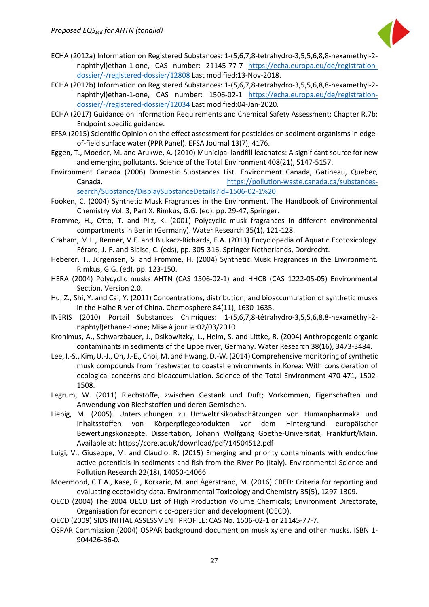

- ECHA (2012a) Information on Registered Substances: 1-(5,6,7,8-tetrahydro-3,5,5,6,8,8-hexamethyl-2 naphthyl)ethan-1-one, CAS number: 21145-77-7 [https://echa.europa.eu/de/registration](https://echa.europa.eu/de/registration-dossier/-/registered-dossier/12808)[dossier/-/registered-dossier/12808](https://echa.europa.eu/de/registration-dossier/-/registered-dossier/12808) Last modified:13-Nov-2018.
- ECHA (2012b) Information on Registered Substances: 1-(5,6,7,8-tetrahydro-3,5,5,6,8,8-hexamethyl-2 naphthyl)ethan-1-one, CAS number: 1506-02-1 [https://echa.europa.eu/de/registration](https://echa.europa.eu/de/registration-dossier/-/registered-dossier/12034)[dossier/-/registered-dossier/12034](https://echa.europa.eu/de/registration-dossier/-/registered-dossier/12034) Last modified:04-Jan-2020.
- ECHA (2017) Guidance on Information Requirements and Chemical Safety Assessment; Chapter R.7b: Endpoint specific guidance.
- EFSA (2015) Scientific Opinion on the effect assessment for pesticides on sediment organisms in edgeof-field surface water (PPR Panel). EFSA Journal 13(7), 4176.
- Eggen, T., Moeder, M. and Arukwe, A. (2010) Municipal landfill leachates: A significant source for new and emerging pollutants. Science of the Total Environment 408(21), 5147-5157.
- Environment Canada (2006) Domestic Substances List. Environment Canada, Gatineau, Quebec, Canada. [https://pollution-waste.canada.ca/substances](https://pollution-waste.canada.ca/substances-search/Substance/DisplaySubstanceDetails?Id=1506-02-1%20)[search/Substance/DisplaySubstanceDetails?Id=1506-02-1%20](https://pollution-waste.canada.ca/substances-search/Substance/DisplaySubstanceDetails?Id=1506-02-1%20)
- Fooken, C. (2004) Synthetic Musk Fragrances in the Environment. The Handbook of Environmental Chemistry Vol. 3, Part X. Rimkus, G.G. (ed), pp. 29-47, Springer.
- Fromme, H., Otto, T. and Pilz, K. (2001) Polycyclic musk fragrances in different environmental compartments in Berlin (Germany). Water Research 35(1), 121-128.
- Graham, M.L., Renner, V.E. and Blukacz-Richards, E.A. (2013) Encyclopedia of Aquatic Ecotoxicology. Férard, J.-F. and Blaise, C. (eds), pp. 305-316, Springer Netherlands, Dordrecht.
- Heberer, T., Jürgensen, S. and Fromme, H. (2004) Synthetic Musk Fragrances in the Environment. Rimkus, G.G. (ed), pp. 123-150.
- HERA (2004) Polycyclic musks AHTN (CAS 1506-02-1) and HHCB (CAS 1222-05-05) Environmental Section, Version 2.0.
- Hu, Z., Shi, Y. and Cai, Y. (2011) Concentrations, distribution, and bioaccumulation of synthetic musks in the Haihe River of China. Chemosphere 84(11), 1630-1635.
- INERIS (2010) Portail Substances Chimiques: 1-(5,6,7,8-tétrahydro-3,5,5,6,8,8-hexaméthyl-2 naphtyl)éthane-1-one; Mise à jour le:02/03/2010
- Kronimus, A., Schwarzbauer, J., Dsikowitzky, L., Heim, S. and Littke, R. (2004) Anthropogenic organic contaminants in sediments of the Lippe river, Germany. Water Research 38(16), 3473-3484.
- Lee, I.-S., Kim, U.-J., Oh, J.-E., Choi, M. and Hwang, D.-W. (2014) Comprehensive monitoring of synthetic musk compounds from freshwater to coastal environments in Korea: With consideration of ecological concerns and bioaccumulation. Science of the Total Environment 470-471, 1502- 1508.
- Legrum, W. (2011) Riechstoffe, zwischen Gestank und Duft; Vorkommen, Eigenschaften und Anwendung von Riechstoffen und deren Gemischen.
- Liebig, M. (2005). Untersuchungen zu Umweltrisikoabschätzungen von Humanpharmaka und Inhaltsstoffen von Körperpflegeprodukten vor dem Hintergrund europäischer Bewertungskonzepte. Dissertation, Johann Wolfgang Goethe-Universität, Frankfurt/Main. Available at:<https://core.ac.uk/download/pdf/14504512.pdf>
- Luigi, V., Giuseppe, M. and Claudio, R. (2015) Emerging and priority contaminants with endocrine active potentials in sediments and fish from the River Po (Italy). Environmental Science and Pollution Research 22(18), 14050-14066.
- Moermond, C.T.A., Kase, R., Korkaric, M. and Ågerstrand, M. (2016) CRED: Criteria for reporting and evaluating ecotoxicity data. Environmental Toxicology and Chemistry 35(5), 1297-1309.
- OECD (2004) The 2004 OECD List of High Production Volume Chemicals; Environment Directorate, Organisation for economic co-operation and development (OECD).
- OECD (2009) SIDS INITIAL ASSESSMENT PROFILE: CAS No. 1506-02-1 or 21145-77-7.
- OSPAR Commission (2004) OSPAR background document on musk xylene and other musks. ISBN 1- 904426-36-0.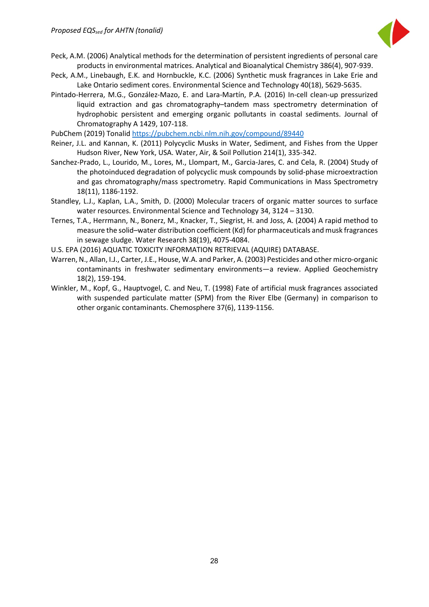

- Peck, A.M. (2006) Analytical methods for the determination of persistent ingredients of personal care products in environmental matrices. Analytical and Bioanalytical Chemistry 386(4), 907-939.
- Peck, A.M., Linebaugh, E.K. and Hornbuckle, K.C. (2006) Synthetic musk fragrances in Lake Erie and Lake Ontario sediment cores. Environmental Science and Technology 40(18), 5629-5635.
- Pintado-Herrera, M.G., González-Mazo, E. and Lara-Martín, P.A. (2016) In-cell clean-up pressurized liquid extraction and gas chromatography–tandem mass spectrometry determination of hydrophobic persistent and emerging organic pollutants in coastal sediments. Journal of Chromatography A 1429, 107-118.

PubChem (2019) Tonalid<https://pubchem.ncbi.nlm.nih.gov/compound/89440>

- Reiner, J.L. and Kannan, K. (2011) Polycyclic Musks in Water, Sediment, and Fishes from the Upper Hudson River, New York, USA. Water, Air, & Soil Pollution 214(1), 335-342.
- Sanchez-Prado, L., Lourido, M., Lores, M., Llompart, M., Garcia-Jares, C. and Cela, R. (2004) Study of the photoinduced degradation of polycyclic musk compounds by solid-phase microextraction and gas chromatography/mass spectrometry. Rapid Communications in Mass Spectrometry 18(11), 1186-1192.
- Standley, L.J., Kaplan, L.A., Smith, D. (2000) Molecular tracers of organic matter sources to surface water resources. Environmental Science and Technology 34, 3124 – 3130.
- Ternes, T.A., Herrmann, N., Bonerz, M., Knacker, T., Siegrist, H. and Joss, A. (2004) A rapid method to measure the solid–water distribution coefficient (Kd) for pharmaceuticals and musk fragrances in sewage sludge. Water Research 38(19), 4075-4084.
- U.S. EPA (2016) AQUATIC TOXICITY INFORMATION RETRIEVAL (AQUIRE) DATABASE.
- Warren, N., Allan, I.J., Carter, J.E., House, W.A. and Parker, A. (2003) Pesticides and other micro-organic contaminants in freshwater sedimentary environments—a review. Applied Geochemistry 18(2), 159-194.
- Winkler, M., Kopf, G., Hauptvogel, C. and Neu, T. (1998) Fate of artificial musk fragrances associated with suspended particulate matter (SPM) from the River Elbe (Germany) in comparison to other organic contaminants. Chemosphere 37(6), 1139-1156.